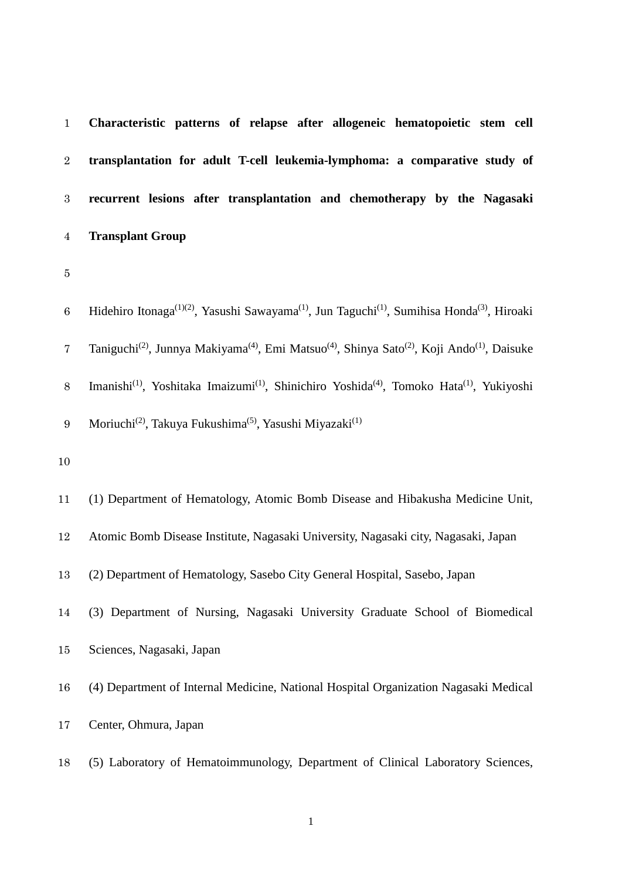**Characteristic patterns of relapse after allogeneic hematopoietic stem cell transplantation for adult T-cell leukemia-lymphoma: a comparative study of recurrent lesions after transplantation and chemotherapy by the Nagasaki Transplant Group**

6 Hidehiro Itonaga<sup>(1)(2)</sup>, Yasushi Sawayama<sup>(1)</sup>, Jun Taguchi<sup>(1)</sup>, Sumihisa Honda<sup>(3)</sup>, Hiroaki 7 Taniguchi<sup>(2)</sup>, Junnya Makiyama<sup>(4)</sup>, Emi Matsuo<sup>(4)</sup>, Shinya Sato<sup>(2)</sup>, Koji Ando<sup>(1)</sup>, Daisuke 8 Imanishi<sup>(1)</sup>, Yoshitaka Imaizumi<sup>(1)</sup>, Shinichiro Yoshida<sup>(4)</sup>, Tomoko Hata<sup>(1)</sup>, Yukiyoshi 9 Moriuchi<sup>(2)</sup>, Takuya Fukushima<sup>(5)</sup>, Yasushi Miyazaki<sup>(1)</sup>

(1) Department of Hematology, Atomic Bomb Disease and Hibakusha Medicine Unit,

Atomic Bomb Disease Institute, Nagasaki University, Nagasaki city, Nagasaki, Japan

(2) Department of Hematology, Sasebo City General Hospital, Sasebo, Japan

- (3) Department of Nursing, Nagasaki University Graduate School of Biomedical
- Sciences, Nagasaki, Japan
- (4) Department of Internal Medicine, National Hospital Organization Nagasaki Medical
- Center, Ohmura, Japan
- (5) Laboratory of Hematoimmunology, Department of Clinical Laboratory Sciences,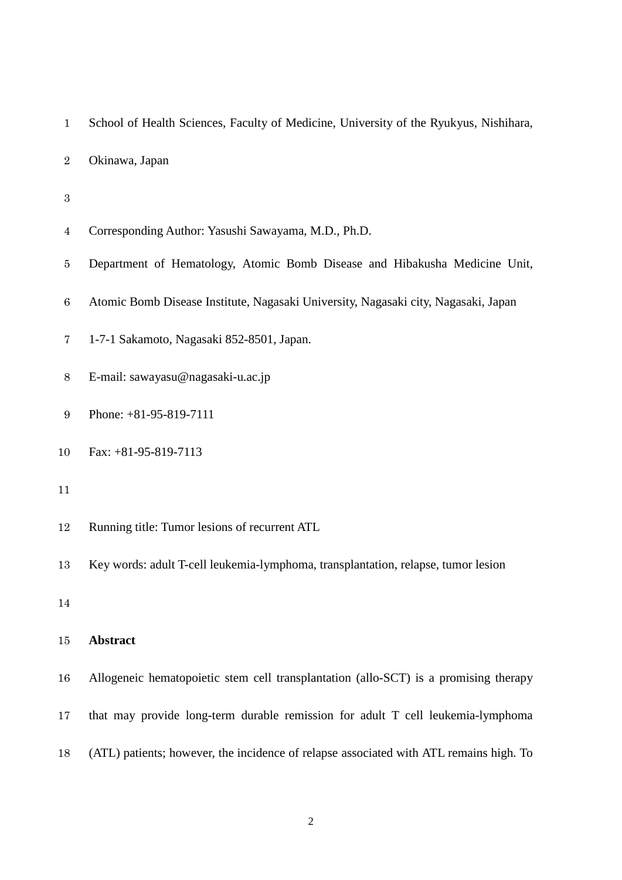| $\mathbf{1}$     | School of Health Sciences, Faculty of Medicine, University of the Ryukyus, Nishihara,  |
|------------------|----------------------------------------------------------------------------------------|
| $\boldsymbol{2}$ | Okinawa, Japan                                                                         |
| $\boldsymbol{3}$ |                                                                                        |
| $\overline{4}$   | Corresponding Author: Yasushi Sawayama, M.D., Ph.D.                                    |
| 5                | Department of Hematology, Atomic Bomb Disease and Hibakusha Medicine Unit,             |
| $\,6\,$          | Atomic Bomb Disease Institute, Nagasaki University, Nagasaki city, Nagasaki, Japan     |
| 7                | 1-7-1 Sakamoto, Nagasaki 852-8501, Japan.                                              |
| $8\,$            | E-mail: sawayasu@nagasaki-u.ac.jp                                                      |
| $\boldsymbol{9}$ | Phone: +81-95-819-7111                                                                 |
| 10               | Fax: $+81-95-819-7113$                                                                 |
| 11               |                                                                                        |
| 12               | Running title: Tumor lesions of recurrent ATL                                          |
| 13               | Key words: adult T-cell leukemia-lymphoma, transplantation, relapse, tumor lesion      |
| 14               |                                                                                        |
| 15               | <b>Abstract</b>                                                                        |
| 16               | Allogeneic hematopoietic stem cell transplantation (allo-SCT) is a promising therapy   |
| 17               | that may provide long-term durable remission for adult T cell leukemia-lymphoma        |
| 18               | (ATL) patients; however, the incidence of relapse associated with ATL remains high. To |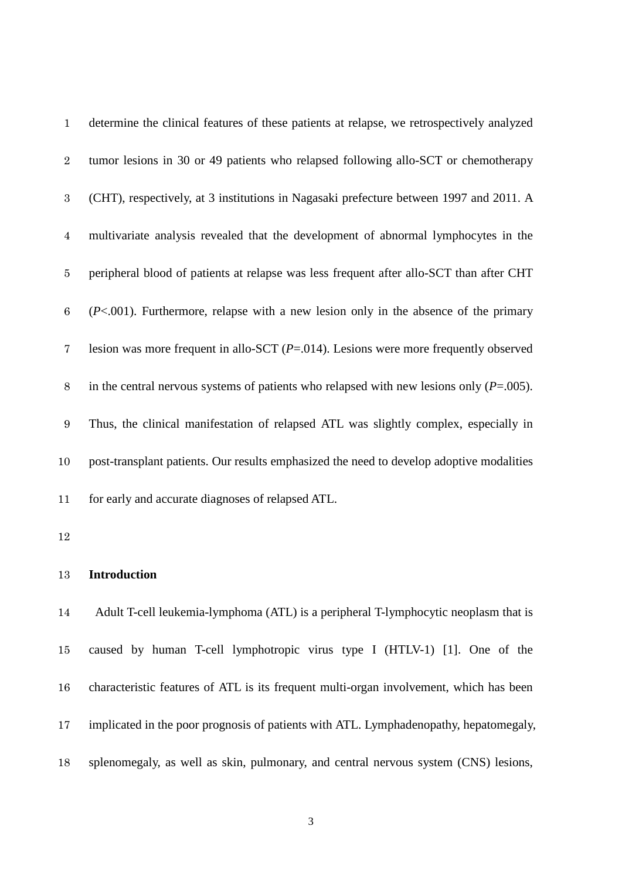| $\mathbf{1}$     | determine the clinical features of these patients at relapse, we retrospectively analyzed  |
|------------------|--------------------------------------------------------------------------------------------|
| $\sqrt{2}$       | tumor lesions in 30 or 49 patients who relapsed following allo-SCT or chemotherapy         |
| $\,3$            | (CHT), respectively, at 3 institutions in Nagasaki prefecture between 1997 and 2011. A     |
| $\overline{4}$   | multivariate analysis revealed that the development of abnormal lymphocytes in the         |
| $\bf 5$          | peripheral blood of patients at relapse was less frequent after allo-SCT than after CHT    |
| $\,6$            | $(P<.001)$ . Furthermore, relapse with a new lesion only in the absence of the primary     |
| $\bf 7$          | lesion was more frequent in allo-SCT $(P=.014)$ . Lesions were more frequently observed    |
| $8\,$            | in the central nervous systems of patients who relapsed with new lesions only $(P=.005)$ . |
| $\boldsymbol{9}$ | Thus, the clinical manifestation of relapsed ATL was slightly complex, especially in       |
| 10               | post-transplant patients. Our results emphasized the need to develop adoptive modalities   |
| 11               | for early and accurate diagnoses of relapsed ATL.                                          |
| 12               |                                                                                            |
| 13               | <b>Introduction</b>                                                                        |
| 14               | Adult T-cell leukemia-lymphoma (ATL) is a peripheral T-lymphocytic neoplasm that is        |
| 15               | caused by human T-cell lymphotropic virus type I (HTLV-1) [1]. One of the                  |
| 16               | characteristic features of ATL is its frequent multi-organ involvement, which has been     |
| 17               | implicated in the poor prognosis of patients with ATL. Lymphadenopathy, hepatomegaly,      |
| 18               | splenomegaly, as well as skin, pulmonary, and central nervous system (CNS) lesions,        |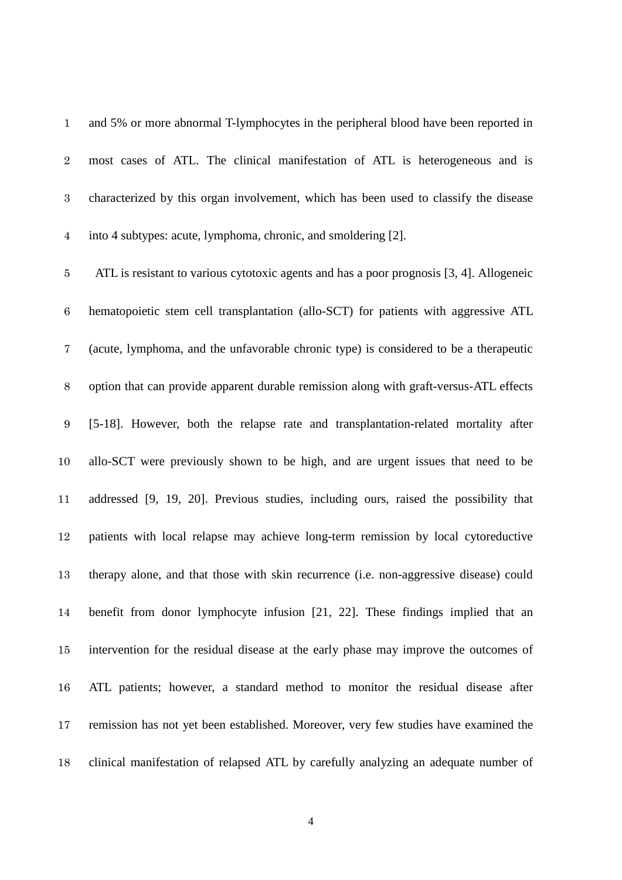and 5% or more abnormal T-lymphocytes in the peripheral blood have been reported in most cases of ATL. The clinical manifestation of ATL is heterogeneous and is characterized by this organ involvement, which has been used to classify the disease into 4 subtypes: acute, lymphoma, chronic, and smoldering [2].

 ATL is resistant to various cytotoxic agents and has a poor prognosis [3, 4]. Allogeneic hematopoietic stem cell transplantation (allo-SCT) for patients with aggressive ATL (acute, lymphoma, and the unfavorable chronic type) is considered to be a therapeutic option that can provide apparent durable remission along with graft-versus-ATL effects [5-18]. However, both the relapse rate and transplantation-related mortality after allo-SCT were previously shown to be high, and are urgent issues that need to be addressed [9, 19, 20]. Previous studies, including ours, raised the possibility that patients with local relapse may achieve long-term remission by local cytoreductive therapy alone, and that those with skin recurrence (i.e. non-aggressive disease) could benefit from donor lymphocyte infusion [21, 22]. These findings implied that an intervention for the residual disease at the early phase may improve the outcomes of ATL patients; however, a standard method to monitor the residual disease after remission has not yet been established. Moreover, very few studies have examined the clinical manifestation of relapsed ATL by carefully analyzing an adequate number of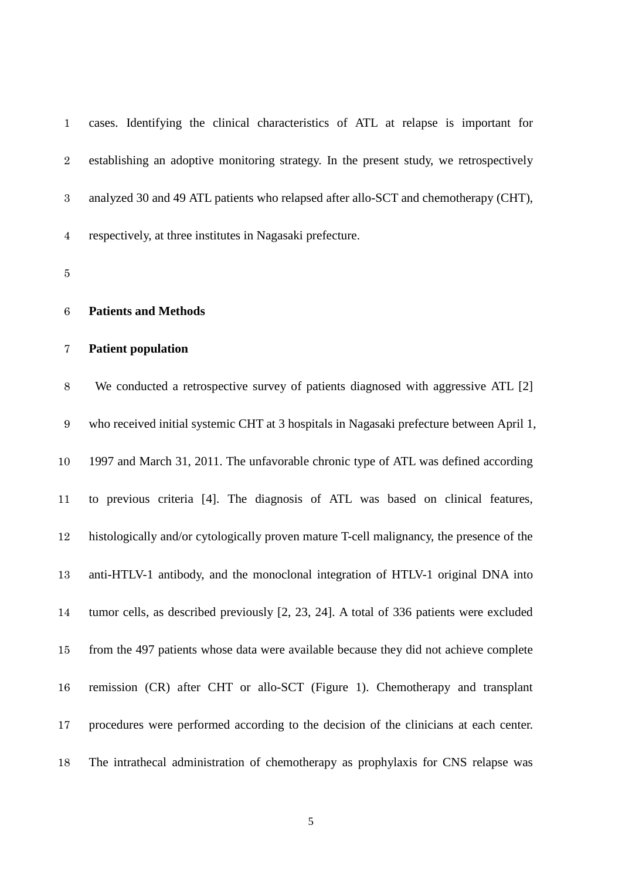| $\mathbf{1}$     | cases. Identifying the clinical characteristics of ATL at relapse is important for       |
|------------------|------------------------------------------------------------------------------------------|
| $\overline{2}$   | establishing an adoptive monitoring strategy. In the present study, we retrospectively   |
| 3                | analyzed 30 and 49 ATL patients who relapsed after allo-SCT and chemotherapy (CHT),      |
| $\overline{4}$   | respectively, at three institutes in Nagasaki prefecture.                                |
| 5                |                                                                                          |
| $\,6$            | <b>Patients and Methods</b>                                                              |
| 7                | <b>Patient population</b>                                                                |
| $8\,$            | We conducted a retrospective survey of patients diagnosed with aggressive ATL [2]        |
| $\boldsymbol{9}$ | who received initial systemic CHT at 3 hospitals in Nagasaki prefecture between April 1, |
| $10\,$           | 1997 and March 31, 2011. The unfavorable chronic type of ATL was defined according       |
| 11               | to previous criteria [4]. The diagnosis of ATL was based on clinical features,           |
| 12               | histologically and/or cytologically proven mature T-cell malignancy, the presence of the |
| 13               | anti-HTLV-1 antibody, and the monoclonal integration of HTLV-1 original DNA into         |
| 14               | tumor cells, as described previously [2, 23, 24]. A total of 336 patients were excluded  |
| 15               | from the 497 patients whose data were available because they did not achieve complete    |
| 16               | remission (CR) after CHT or allo-SCT (Figure 1). Chemotherapy and transplant             |
| 17               | procedures were performed according to the decision of the clinicians at each center.    |
| 18               | The intrathecal administration of chemotherapy as prophylaxis for CNS relapse was        |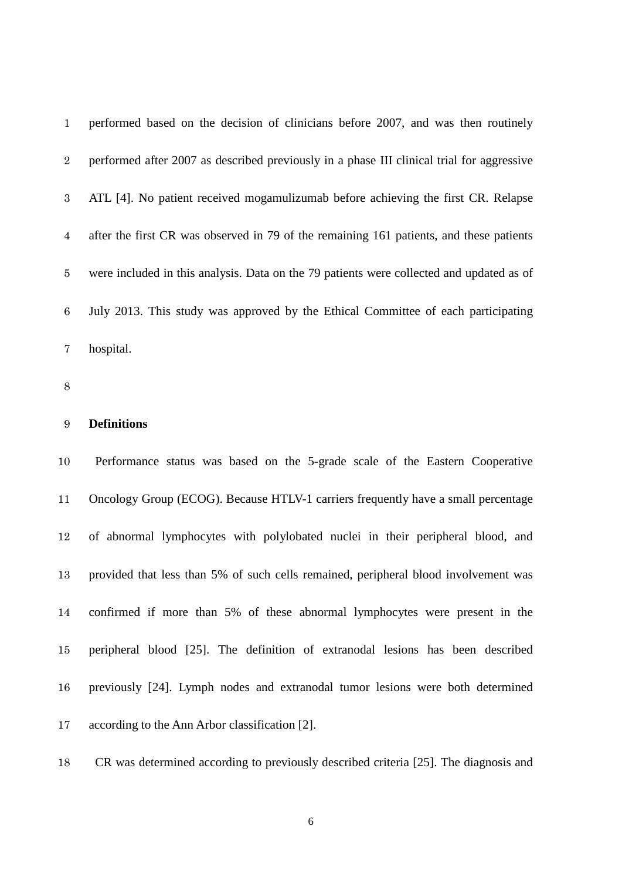| $\mathbf{1}$   | performed based on the decision of clinicians before 2007, and was then routinely         |
|----------------|-------------------------------------------------------------------------------------------|
| $\overline{2}$ | performed after 2007 as described previously in a phase III clinical trial for aggressive |
| 3 <sup>1</sup> | ATL [4]. No patient received mogamulizumab before achieving the first CR. Relapse         |
| $\overline{4}$ | after the first CR was observed in 79 of the remaining 161 patients, and these patients   |
| $5^{\circ}$    | were included in this analysis. Data on the 79 patients were collected and updated as of  |
| 6              | July 2013. This study was approved by the Ethical Committee of each participating         |
| 7              | hospital.                                                                                 |

## **Definitions**

 Performance status was based on the 5-grade scale of the Eastern Cooperative Oncology Group (ECOG). Because HTLV-1 carriers frequently have a small percentage of abnormal lymphocytes with polylobated nuclei in their peripheral blood, and provided that less than 5% of such cells remained, peripheral blood involvement was confirmed if more than 5% of these abnormal lymphocytes were present in the peripheral blood [25]. The definition of extranodal lesions has been described previously [24]. Lymph nodes and extranodal tumor lesions were both determined according to the Ann Arbor classification [2].

CR was determined according to previously described criteria [25]. The diagnosis and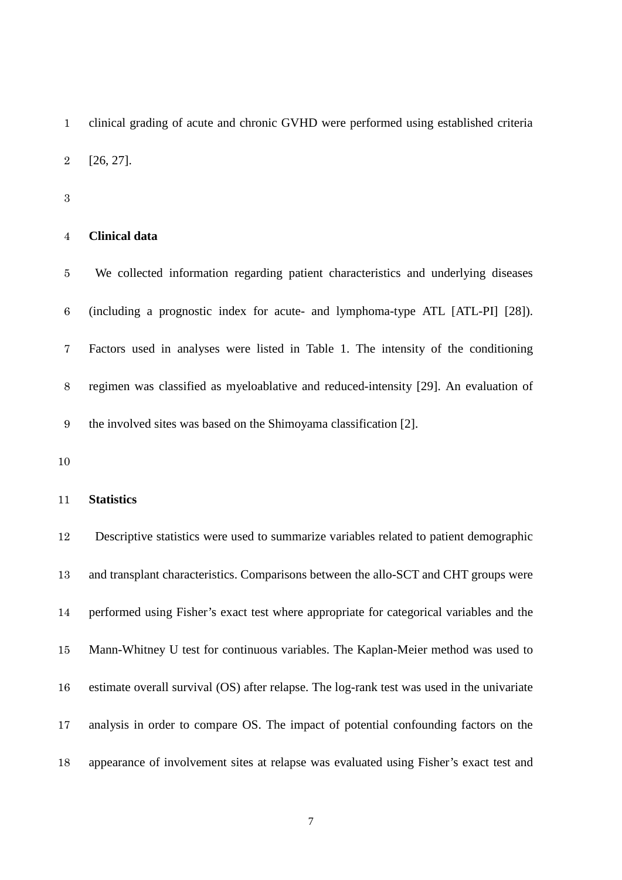clinical grading of acute and chronic GVHD were performed using established criteria [26, 27].

#### **Clinical data**

 We collected information regarding patient characteristics and underlying diseases (including a prognostic index for acute- and lymphoma-type ATL [ATL-PI] [28]). Factors used in analyses were listed in Table 1. The intensity of the conditioning regimen was classified as myeloablative and reduced-intensity [29]. An evaluation of the involved sites was based on the Shimoyama classification [2].

## **Statistics**

 Descriptive statistics were used to summarize variables related to patient demographic and transplant characteristics. Comparisons between the allo-SCT and CHT groups were performed using Fisher's exact test where appropriate for categorical variables and the Mann-Whitney U test for continuous variables. The Kaplan-Meier method was used to estimate overall survival (OS) after relapse. The log-rank test was used in the univariate analysis in order to compare OS. The impact of potential confounding factors on the appearance of involvement sites at relapse was evaluated using Fisher's exact test and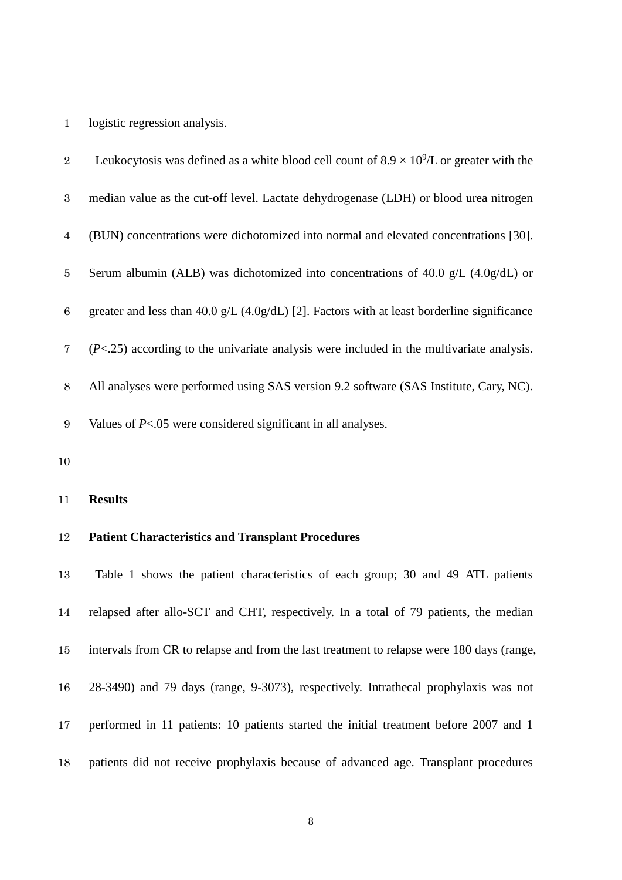## logistic regression analysis.

| $\overline{2}$ | Leukocytosis was defined as a white blood cell count of $8.9 \times 10^9$ /L or greater with the |
|----------------|--------------------------------------------------------------------------------------------------|
| 3              | median value as the cut-off level. Lactate dehydrogenase (LDH) or blood urea nitrogen            |
| $\overline{4}$ | (BUN) concentrations were dichotomized into normal and elevated concentrations [30].             |
| 5              | Serum albumin (ALB) was dichotomized into concentrations of 40.0 $g/L$ (4.0g/dL) or              |
| 6              | greater and less than 40.0 g/L (4.0g/dL) [2]. Factors with at least borderline significance      |
| $7\phantom{.}$ | $(P<.25)$ according to the univariate analysis were included in the multivariate analysis.       |
| 8              | All analyses were performed using SAS version 9.2 software (SAS Institute, Cary, NC).            |
| 9              | Values of $P<.05$ were considered significant in all analyses.                                   |

## **Results**

# **Patient Characteristics and Transplant Procedures**

 Table 1 shows the patient characteristics of each group; 30 and 49 ATL patients relapsed after allo-SCT and CHT, respectively. In a total of 79 patients, the median intervals from CR to relapse and from the last treatment to relapse were 180 days (range, 28-3490) and 79 days (range, 9-3073), respectively. Intrathecal prophylaxis was not performed in 11 patients: 10 patients started the initial treatment before 2007 and 1 patients did not receive prophylaxis because of advanced age. Transplant procedures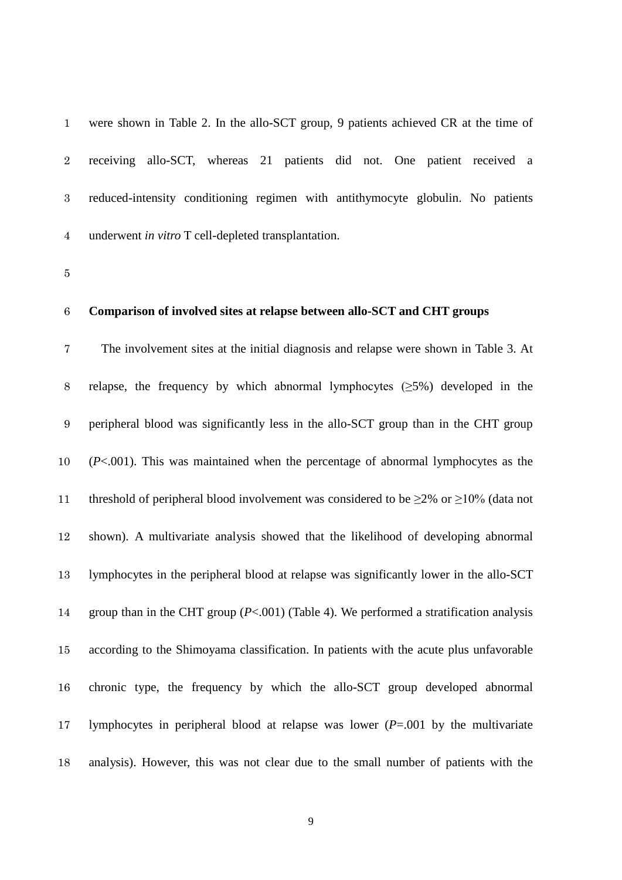| $\mathbf{1}$ | were shown in Table 2. In the allo-SCT group, 9 patients achieved CR at the time of |
|--------------|-------------------------------------------------------------------------------------|
| $2^{\circ}$  | receiving allo-SCT, whereas 21 patients did not. One patient received a             |
| 3            | reduced-intensity conditioning regimen with antithymocyte globulin. No patients     |
| 4            | underwent <i>in vitro</i> T cell-depleted transplantation.                          |

#### **Comparison of involved sites at relapse between allo-SCT and CHT groups**

 The involvement sites at the initial diagnosis and relapse were shown in Table 3. At 8 relapse, the frequency by which abnormal lymphocytes  $(\geq 5\%)$  developed in the peripheral blood was significantly less in the allo-SCT group than in the CHT group (*P*<.001). This was maintained when the percentage of abnormal lymphocytes as the 11 threshold of peripheral blood involvement was considered to be  $\geq$ 2% or  $\geq$ 10% (data not shown). A multivariate analysis showed that the likelihood of developing abnormal lymphocytes in the peripheral blood at relapse was significantly lower in the allo-SCT group than in the CHT group (*P*<.001) (Table 4). We performed a stratification analysis according to the Shimoyama classification. In patients with the acute plus unfavorable chronic type, the frequency by which the allo-SCT group developed abnormal lymphocytes in peripheral blood at relapse was lower (*P*=.001 by the multivariate analysis). However, this was not clear due to the small number of patients with the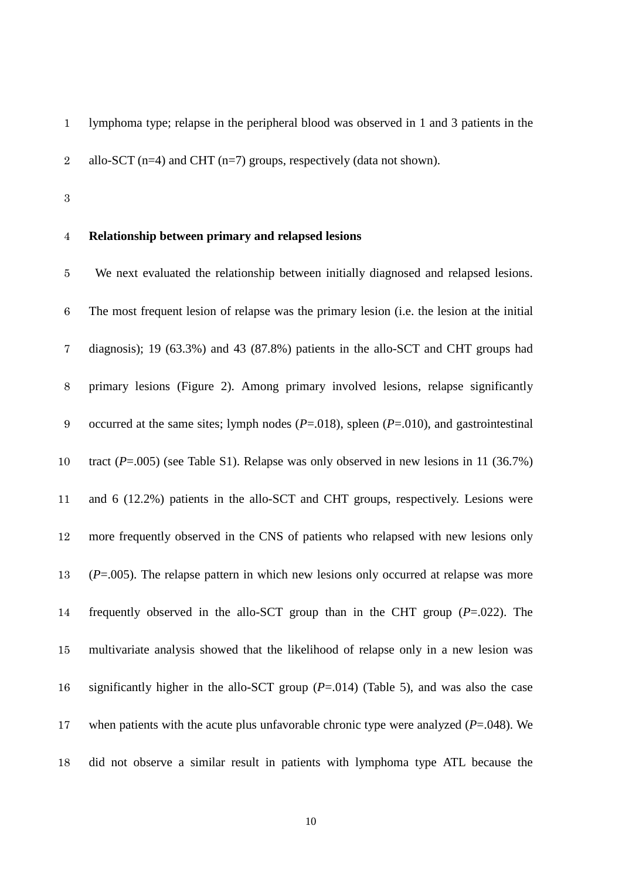lymphoma type; relapse in the peripheral blood was observed in 1 and 3 patients in the 2 allo-SCT (n=4) and CHT (n=7) groups, respectively (data not shown).

## **Relationship between primary and relapsed lesions**

 We next evaluated the relationship between initially diagnosed and relapsed lesions. The most frequent lesion of relapse was the primary lesion (i.e. the lesion at the initial diagnosis); 19 (63.3%) and 43 (87.8%) patients in the allo-SCT and CHT groups had primary lesions (Figure 2). Among primary involved lesions, relapse significantly occurred at the same sites; lymph nodes (*P*=.018), spleen (*P*=.010), and gastrointestinal tract (*P*=.005) (see Table S1). Relapse was only observed in new lesions in 11 (36.7%) and 6 (12.2%) patients in the allo-SCT and CHT groups, respectively. Lesions were more frequently observed in the CNS of patients who relapsed with new lesions only (*P*=.005). The relapse pattern in which new lesions only occurred at relapse was more frequently observed in the allo-SCT group than in the CHT group (*P*=.022). The multivariate analysis showed that the likelihood of relapse only in a new lesion was significantly higher in the allo-SCT group (*P*=.014) (Table 5), and was also the case when patients with the acute plus unfavorable chronic type were analyzed (*P*=.048). We did not observe a similar result in patients with lymphoma type ATL because the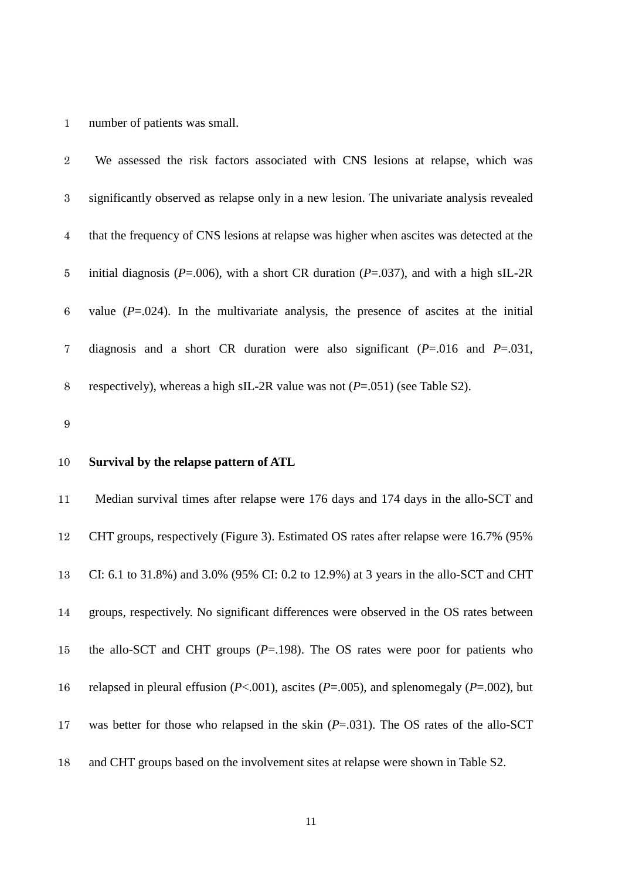### number of patients was small.

 We assessed the risk factors associated with CNS lesions at relapse, which was significantly observed as relapse only in a new lesion. The univariate analysis revealed that the frequency of CNS lesions at relapse was higher when ascites was detected at the initial diagnosis (*P*=.006), with a short CR duration (*P*=.037), and with a high sIL-2R 6 value  $(P=.024)$ . In the multivariate analysis, the presence of ascites at the initial diagnosis and a short CR duration were also significant (*P*=.016 and *P*=.031, respectively), whereas a high sIL-2R value was not (*P*=.051) (see Table S2).

#### 

#### **Survival by the relapse pattern of ATL**

 Median survival times after relapse were 176 days and 174 days in the allo-SCT and CHT groups, respectively (Figure 3). Estimated OS rates after relapse were 16.7% (95% CI: 6.1 to 31.8%) and 3.0% (95% CI: 0.2 to 12.9%) at 3 years in the allo-SCT and CHT groups, respectively. No significant differences were observed in the OS rates between the allo-SCT and CHT groups (*P*=.198). The OS rates were poor for patients who relapsed in pleural effusion (*P*<.001), ascites (*P*=.005), and splenomegaly (*P*=.002), but was better for those who relapsed in the skin (*P*=.031). The OS rates of the allo-SCT and CHT groups based on the involvement sites at relapse were shown in Table S2.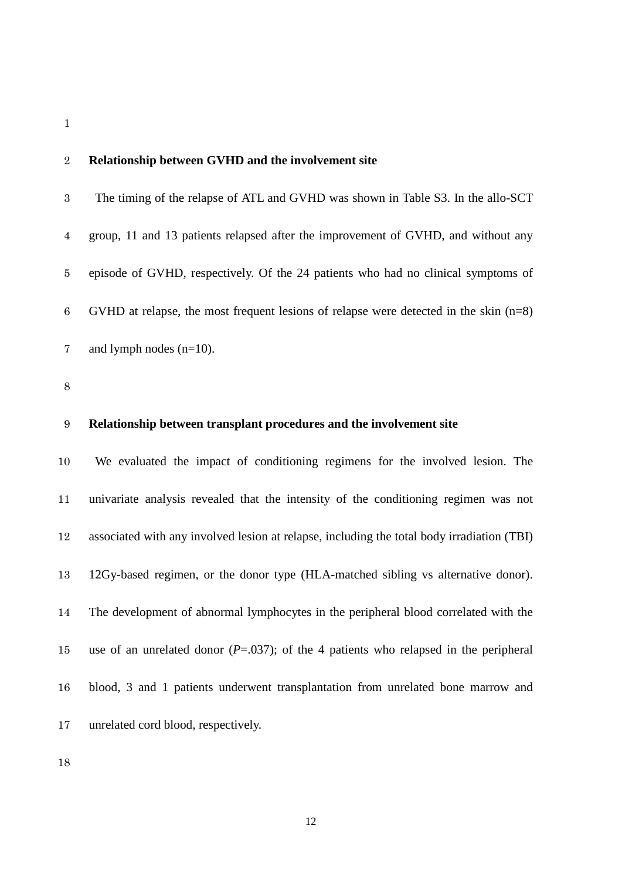#### **Relationship between GVHD and the involvement site**

 The timing of the relapse of ATL and GVHD was shown in Table S3. In the allo-SCT group, 11 and 13 patients relapsed after the improvement of GVHD, and without any episode of GVHD, respectively. Of the 24 patients who had no clinical symptoms of GVHD at relapse, the most frequent lesions of relapse were detected in the skin (n=8) 7 and lymph nodes (n=10).

## **Relationship between transplant procedures and the involvement site**

 We evaluated the impact of conditioning regimens for the involved lesion. The univariate analysis revealed that the intensity of the conditioning regimen was not associated with any involved lesion at relapse, including the total body irradiation (TBI) 12Gy-based regimen, or the donor type (HLA-matched sibling vs alternative donor). The development of abnormal lymphocytes in the peripheral blood correlated with the use of an unrelated donor (*P*=.037); of the 4 patients who relapsed in the peripheral blood, 3 and 1 patients underwent transplantation from unrelated bone marrow and unrelated cord blood, respectively.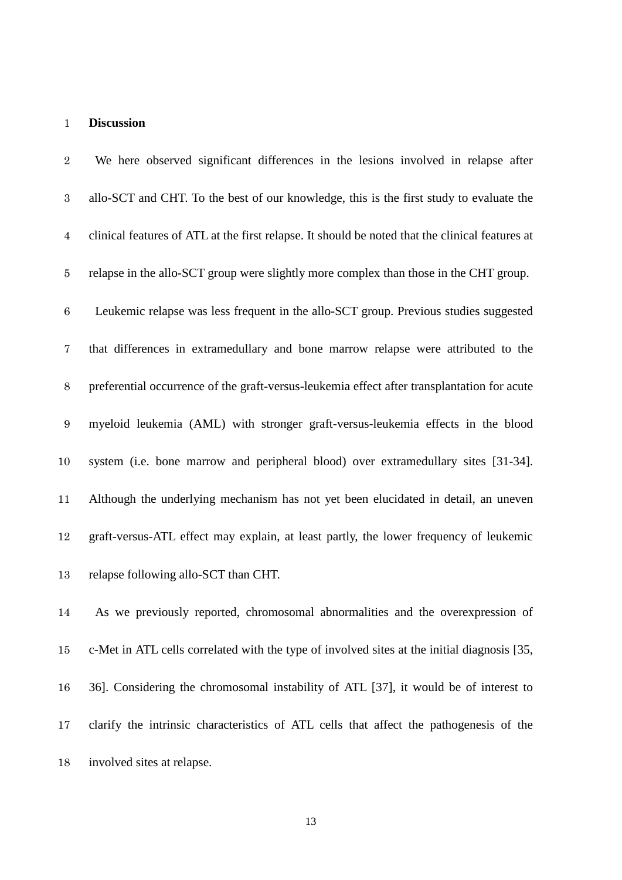#### **Discussion**

 We here observed significant differences in the lesions involved in relapse after allo-SCT and CHT. To the best of our knowledge, this is the first study to evaluate the clinical features of ATL at the first relapse. It should be noted that the clinical features at relapse in the allo-SCT group were slightly more complex than those in the CHT group. Leukemic relapse was less frequent in the allo-SCT group. Previous studies suggested that differences in extramedullary and bone marrow relapse were attributed to the preferential occurrence of the graft-versus-leukemia effect after transplantation for acute myeloid leukemia (AML) with stronger graft-versus-leukemia effects in the blood system (i.e. bone marrow and peripheral blood) over extramedullary sites [31-34]. Although the underlying mechanism has not yet been elucidated in detail, an uneven graft-versus-ATL effect may explain, at least partly, the lower frequency of leukemic relapse following allo-SCT than CHT.

 As we previously reported, chromosomal abnormalities and the overexpression of c-Met in ATL cells correlated with the type of involved sites at the initial diagnosis [35, 36]. Considering the chromosomal instability of ATL [37], it would be of interest to clarify the intrinsic characteristics of ATL cells that affect the pathogenesis of the involved sites at relapse.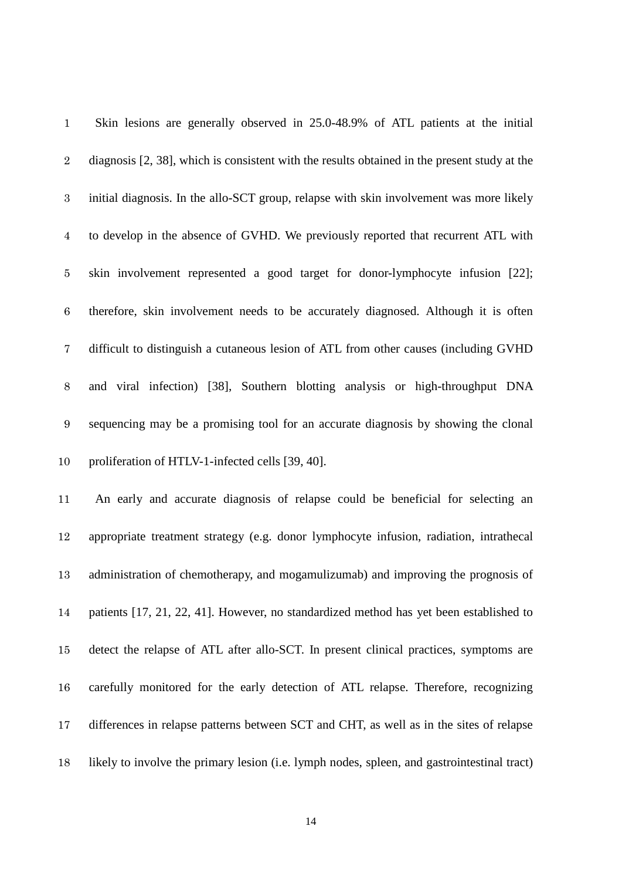| $\mathbf{1}$   | Skin lesions are generally observed in 25.0-48.9% of ATL patients at the initial             |
|----------------|----------------------------------------------------------------------------------------------|
| $\sqrt{2}$     | diagnosis [2, 38], which is consistent with the results obtained in the present study at the |
| $\,3$          | initial diagnosis. In the allo-SCT group, relapse with skin involvement was more likely      |
| $\overline{4}$ | to develop in the absence of GVHD. We previously reported that recurrent ATL with            |
| $\bf 5$        | skin involvement represented a good target for donor-lymphocyte infusion [22];               |
| $\,6\,$        | therefore, skin involvement needs to be accurately diagnosed. Although it is often           |
| 7              | difficult to distinguish a cutaneous lesion of ATL from other causes (including GVHD         |
| $8\,$          | and viral infection) [38], Southern blotting analysis or high-throughput DNA                 |
| $9\,$          | sequencing may be a promising tool for an accurate diagnosis by showing the clonal           |
| 10             | proliferation of HTLV-1-infected cells [39, 40].                                             |
| 11             | An early and accurate diagnosis of relapse could be beneficial for selecting an              |
| 12             | appropriate treatment strategy (e.g. donor lymphocyte infusion, radiation, intrathecal       |
| 13             | administration of chemotherapy, and mogamulizumab) and improving the prognosis of            |
| 14             | patients [17, 21, 22, 41]. However, no standardized method has yet been established to       |
| 15             | detect the relapse of ATL after allo-SCT. In present clinical practices, symptoms are        |
| 16             | carefully monitored for the early detection of ATL relapse. Therefore, recognizing           |
|                |                                                                                              |
| 17             | differences in relapse patterns between SCT and CHT, as well as in the sites of relapse      |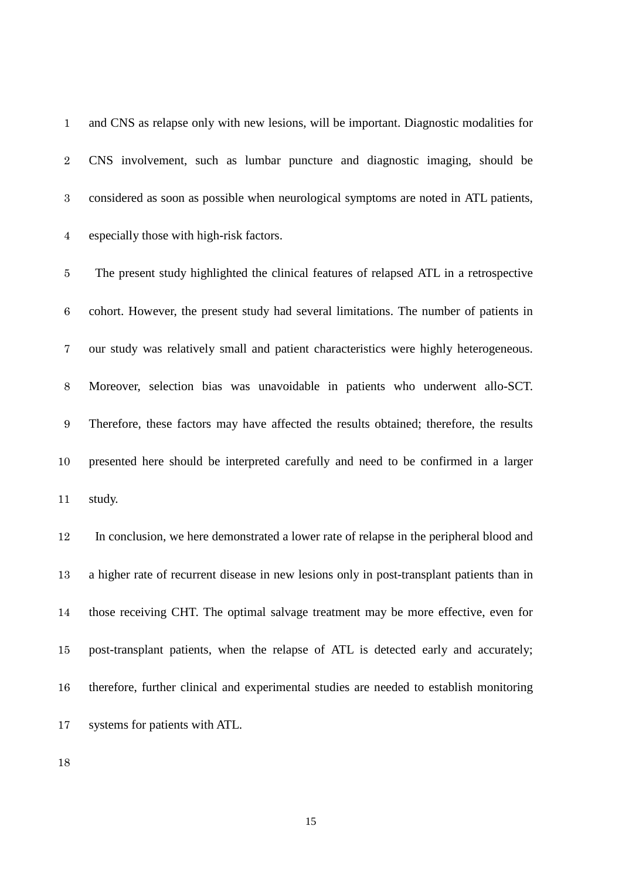and CNS as relapse only with new lesions, will be important. Diagnostic modalities for CNS involvement, such as lumbar puncture and diagnostic imaging, should be considered as soon as possible when neurological symptoms are noted in ATL patients, especially those with high-risk factors.

 The present study highlighted the clinical features of relapsed ATL in a retrospective cohort. However, the present study had several limitations. The number of patients in our study was relatively small and patient characteristics were highly heterogeneous. Moreover, selection bias was unavoidable in patients who underwent allo-SCT. Therefore, these factors may have affected the results obtained; therefore, the results presented here should be interpreted carefully and need to be confirmed in a larger study.

 In conclusion, we here demonstrated a lower rate of relapse in the peripheral blood and a higher rate of recurrent disease in new lesions only in post-transplant patients than in those receiving CHT. The optimal salvage treatment may be more effective, even for post-transplant patients, when the relapse of ATL is detected early and accurately; therefore, further clinical and experimental studies are needed to establish monitoring systems for patients with ATL.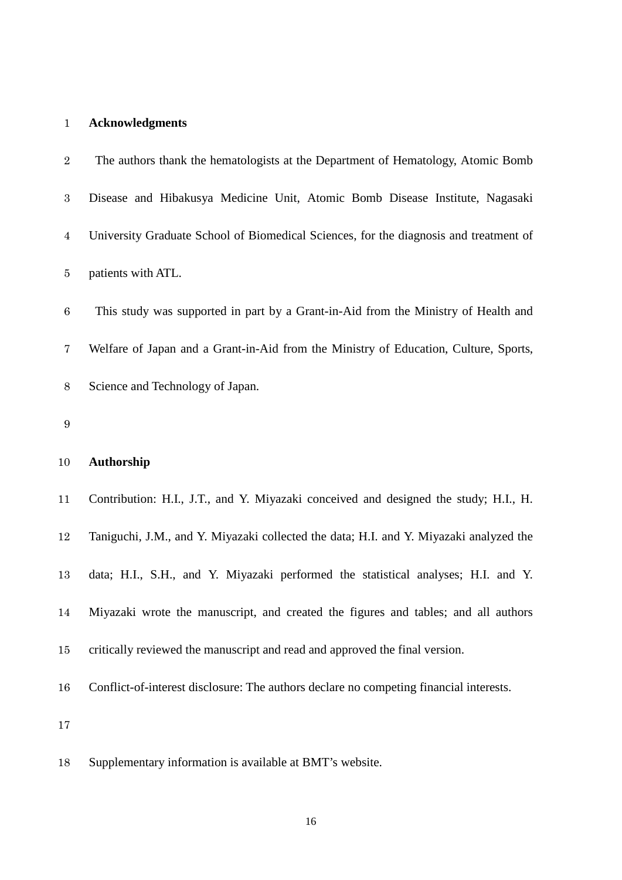## **Acknowledgments**

| $\overline{2}$   | The authors thank the hematologists at the Department of Hematology, Atomic Bomb       |
|------------------|----------------------------------------------------------------------------------------|
| $\boldsymbol{3}$ | Disease and Hibakusya Medicine Unit, Atomic Bomb Disease Institute, Nagasaki           |
| $\overline{4}$   | University Graduate School of Biomedical Sciences, for the diagnosis and treatment of  |
| $\bf 5$          | patients with ATL.                                                                     |
| $\,6$            | This study was supported in part by a Grant-in-Aid from the Ministry of Health and     |
| 7                | Welfare of Japan and a Grant-in-Aid from the Ministry of Education, Culture, Sports,   |
| $8\,$            | Science and Technology of Japan.                                                       |
| 9                |                                                                                        |
| 10               | <b>Authorship</b>                                                                      |
| 11               | Contribution: H.I., J.T., and Y. Miyazaki conceived and designed the study; H.I., H.   |
| 12               | Taniguchi, J.M., and Y. Miyazaki collected the data; H.I. and Y. Miyazaki analyzed the |
| 13               | data; H.I., S.H., and Y. Miyazaki performed the statistical analyses; H.I. and Y.      |
| 14               | Miyazaki wrote the manuscript, and created the figures and tables; and all authors     |
|                  |                                                                                        |

- critically reviewed the manuscript and read and approved the final version.
- Conflict-of-interest disclosure: The authors declare no competing financial interests.

Supplementary information is available at BMT's website.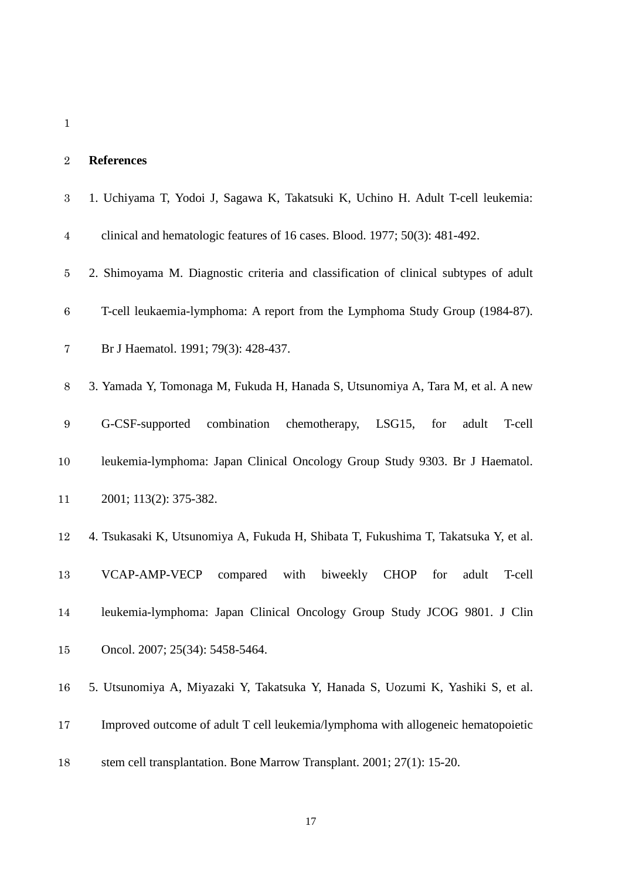| <b>References</b>                                                                       |
|-----------------------------------------------------------------------------------------|
| 1. Uchiyama T, Yodoi J, Sagawa K, Takatsuki K, Uchino H. Adult T-cell leukemia:         |
| clinical and hematologic features of 16 cases. Blood. 1977; 50(3): 481-492.             |
| 2. Shimoyama M. Diagnostic criteria and classification of clinical subtypes of adult    |
| T-cell leukaemia-lymphoma: A report from the Lymphoma Study Group (1984-87).            |
| Br J Haematol. 1991; 79(3): 428-437.                                                    |
| 3. Yamada Y, Tomonaga M, Fukuda H, Hanada S, Utsunomiya A, Tara M, et al. A new         |
| G-CSF-supported<br>combination chemotherapy,<br>$LSG15$ ,<br>for<br>adult<br>T-cell     |
| leukemia-lymphoma: Japan Clinical Oncology Group Study 9303. Br J Haematol.             |
| 2001; 113(2): 375-382.                                                                  |
| 4. Tsukasaki K, Utsunomiya A, Fukuda H, Shibata T, Fukushima T, Takatsuka Y, et al.     |
| <b>VCAP-AMP-VECP</b><br>compared with biweekly<br><b>CHOP</b><br>for<br>adult<br>T-cell |
| leukemia-lymphoma: Japan Clinical Oncology Group Study JCOG 9801. J Clin                |
| Oncol. 2007; 25(34): 5458-5464.                                                         |
| 5. Utsunomiya A, Miyazaki Y, Takatsuka Y, Hanada S, Uozumi K, Yashiki S, et al.         |
| Improved outcome of adult T cell leukemia/lymphoma with allogeneic hematopoietic        |
| stem cell transplantation. Bone Marrow Transplant. 2001; 27(1): 15-20.                  |
|                                                                                         |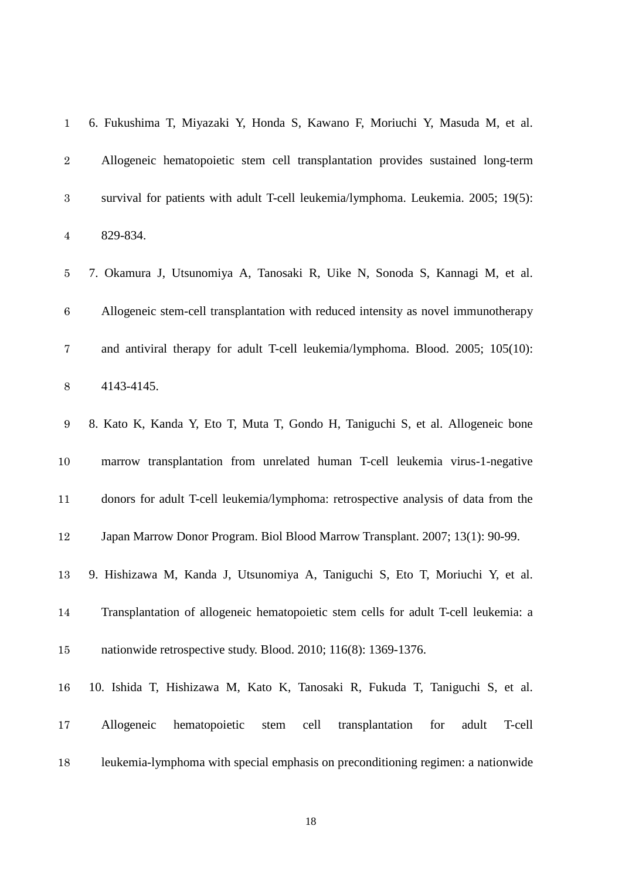| $\mathbf{1}$     | 6. Fukushima T, Miyazaki Y, Honda S, Kawano F, Moriuchi Y, Masuda M, et al.              |
|------------------|------------------------------------------------------------------------------------------|
| $\overline{2}$   | Allogeneic hematopoietic stem cell transplantation provides sustained long-term          |
| $\sqrt{3}$       | survival for patients with adult T-cell leukemia/lymphoma. Leukemia. 2005; 19(5):        |
| $\overline{4}$   | 829-834.                                                                                 |
| $\bf 5$          | 7. Okamura J, Utsunomiya A, Tanosaki R, Uike N, Sonoda S, Kannagi M, et al.              |
| $\,6\,$          | Allogeneic stem-cell transplantation with reduced intensity as novel immunotherapy       |
| $\overline{7}$   | and antiviral therapy for adult T-cell leukemia/lymphoma. Blood. 2005; 105(10):          |
| $8\,$            | 4143-4145.                                                                               |
| $\boldsymbol{9}$ | 8. Kato K, Kanda Y, Eto T, Muta T, Gondo H, Taniguchi S, et al. Allogeneic bone          |
| 10               | marrow transplantation from unrelated human T-cell leukemia virus-1-negative             |
| 11               | donors for adult T-cell leukemia/lymphoma: retrospective analysis of data from the       |
| 12               | Japan Marrow Donor Program. Biol Blood Marrow Transplant. 2007; 13(1): 90-99.            |
| 13               | 9. Hishizawa M, Kanda J, Utsunomiya A, Taniguchi S, Eto T, Moriuchi Y, et al.            |
| 14               | Transplantation of allogeneic hematopoietic stem cells for adult T-cell leukemia: a      |
| 15               | nationwide retrospective study. Blood. 2010; 116(8): 1369-1376.                          |
| 16               | 10. Ishida T, Hishizawa M, Kato K, Tanosaki R, Fukuda T, Taniguchi S, et al.             |
| 17               | Allogeneic<br>hematopoietic<br>cell<br>transplantation<br>for<br>T-cell<br>stem<br>adult |
| 18               | leukemia-lymphoma with special emphasis on preconditioning regimen: a nationwide         |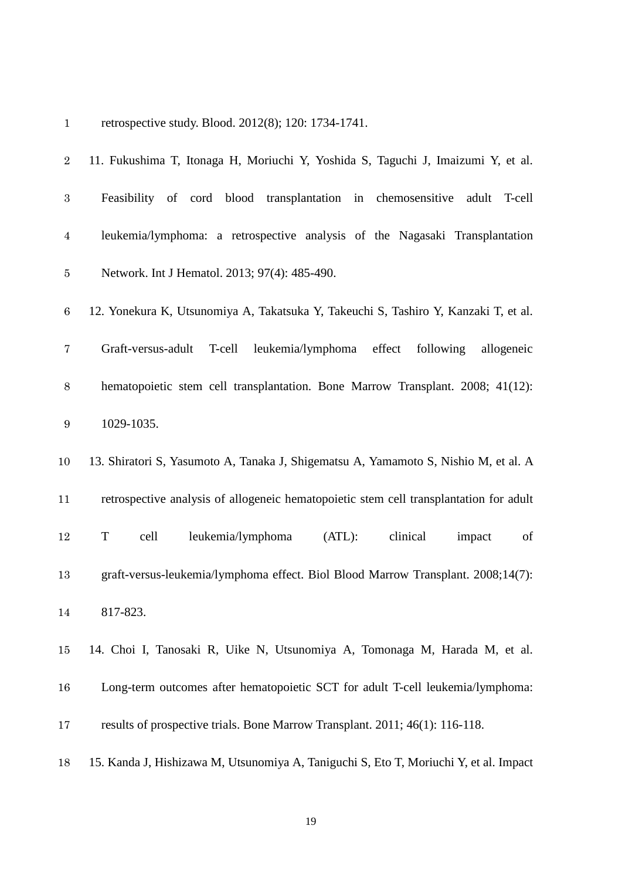| $\mathbf{1}$     | retrospective study. Blood. 2012(8); 120: 1734-1741.                                   |
|------------------|----------------------------------------------------------------------------------------|
| $\sqrt{2}$       | 11. Fukushima T, Itonaga H, Moriuchi Y, Yoshida S, Taguchi J, Imaizumi Y, et al.       |
| 3                | Feasibility of cord blood transplantation in chemosensitive<br>adult T-cell            |
| $\overline{4}$   | leukemia/lymphoma: a retrospective analysis of the Nagasaki Transplantation            |
| $\bf 5$          | Network. Int J Hematol. 2013; 97(4): 485-490.                                          |
| $\,6$            | 12. Yonekura K, Utsunomiya A, Takatsuka Y, Takeuchi S, Tashiro Y, Kanzaki T, et al.    |
| 7                | leukemia/lymphoma effect<br>Graft-versus-adult<br>T-cell<br>following<br>allogeneic    |
| $8\,$            | hematopoietic stem cell transplantation. Bone Marrow Transplant. 2008; 41(12):         |
| $\boldsymbol{9}$ | 1029-1035.                                                                             |
| 10               | 13. Shiratori S, Yasumoto A, Tanaka J, Shigematsu A, Yamamoto S, Nishio M, et al. A    |
| 11               | retrospective analysis of allogeneic hematopoietic stem cell transplantation for adult |
| 12               | leukemia/lymphoma<br>clinical<br>T<br>cell<br>(ATL):<br>of<br>impact                   |
| 13               | graft-versus-leukemia/lymphoma effect. Biol Blood Marrow Transplant. 2008;14(7):       |
| 14               | 817-823.                                                                               |
| 15               | 14. Choi I, Tanosaki R, Uike N, Utsunomiya A, Tomonaga M, Harada M, et al.             |
| 16               | Long-term outcomes after hematopoietic SCT for adult T-cell leukemia/lymphoma:         |
| 17               | results of prospective trials. Bone Marrow Transplant. 2011; 46(1): 116-118.           |
|                  |                                                                                        |

15. Kanda J, Hishizawa M, Utsunomiya A, Taniguchi S, Eto T, Moriuchi Y, et al. Impact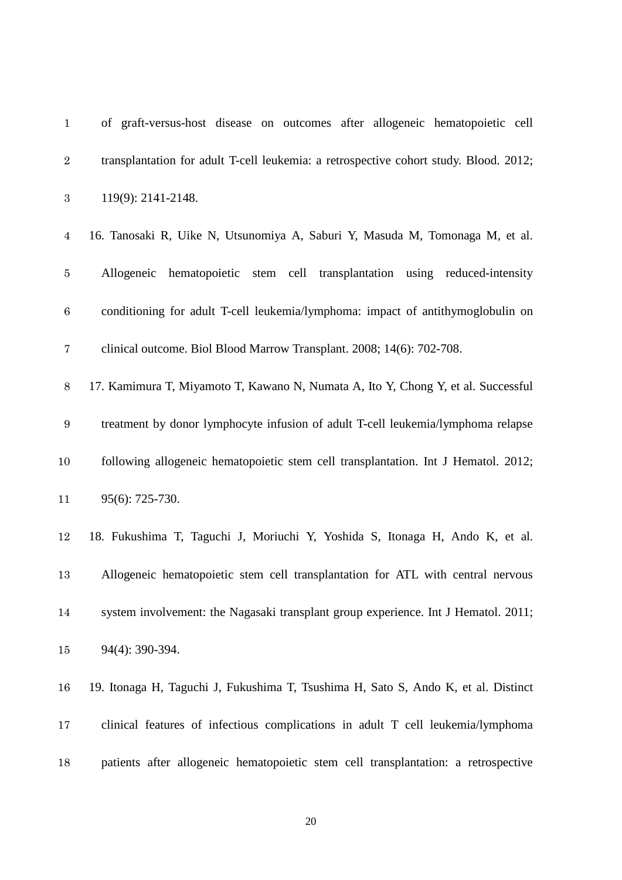| $\mathbf{1}$     | of graft-versus-host disease on outcomes after allogeneic hematopoietic cell          |
|------------------|---------------------------------------------------------------------------------------|
| $\sqrt{2}$       | transplantation for adult T-cell leukemia: a retrospective cohort study. Blood. 2012; |
| $\boldsymbol{3}$ | 119(9): 2141-2148.                                                                    |
| $\overline{4}$   | 16. Tanosaki R, Uike N, Utsunomiya A, Saburi Y, Masuda M, Tomonaga M, et al.          |
| $\bf 5$          | Allogeneic hematopoietic stem cell transplantation using reduced-intensity            |
| $\,6$            | conditioning for adult T-cell leukemia/lymphoma: impact of antithymoglobulin on       |
| $\bf 7$          | clinical outcome. Biol Blood Marrow Transplant. 2008; 14(6): 702-708.                 |
| $8\,$            | 17. Kamimura T, Miyamoto T, Kawano N, Numata A, Ito Y, Chong Y, et al. Successful     |
| $\boldsymbol{9}$ | treatment by donor lymphocyte infusion of adult T-cell leukemia/lymphoma relapse      |
| $10\,$           | following allogeneic hematopoietic stem cell transplantation. Int J Hematol. 2012;    |
| 11               | 95(6): 725-730.                                                                       |
| 12               | 18. Fukushima T, Taguchi J, Moriuchi Y, Yoshida S, Itonaga H, Ando K, et al.          |
| 13               | Allogeneic hematopoietic stem cell transplantation for ATL with central nervous       |
| 14               | system involvement: the Nagasaki transplant group experience. Int J Hematol. 2011;    |
| $15\,$           | 94(4): 390-394.                                                                       |
| 16               | 19. Itonaga H, Taguchi J, Fukushima T, Tsushima H, Sato S, Ando K, et al. Distinct    |
| 17               | clinical features of infectious complications in adult T cell leukemia/lymphoma       |
| 18               | patients after allogeneic hematopoietic stem cell transplantation: a retrospective    |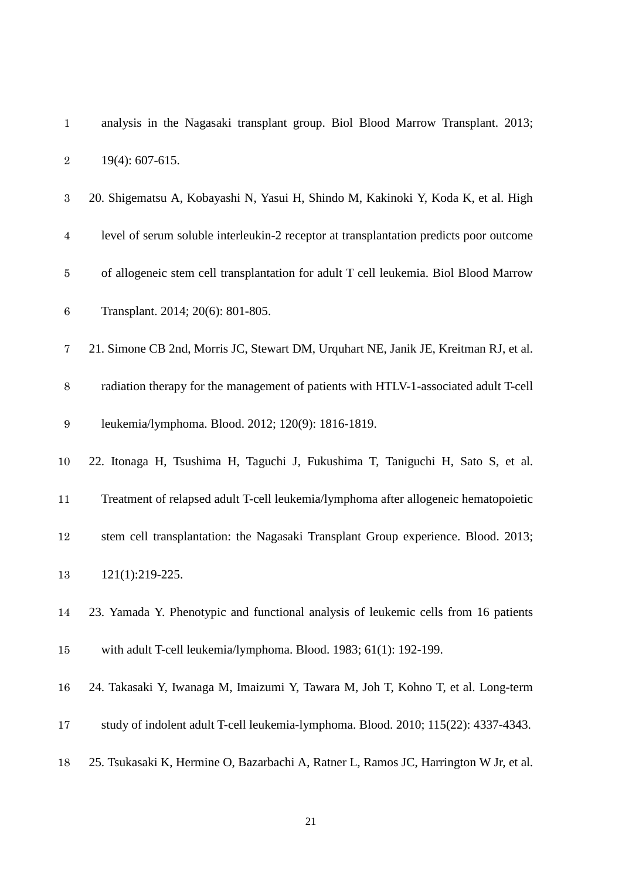| $\sqrt{2}$       | 19(4): 607-615.                                                                        |
|------------------|----------------------------------------------------------------------------------------|
| $\boldsymbol{3}$ | 20. Shigematsu A, Kobayashi N, Yasui H, Shindo M, Kakinoki Y, Koda K, et al. High      |
| $\overline{4}$   | level of serum soluble interleukin-2 receptor at transplantation predicts poor outcome |
| $\bf 5$          | of allogeneic stem cell transplantation for adult T cell leukemia. Biol Blood Marrow   |
| $\,6$            | Transplant. 2014; 20(6): 801-805.                                                      |
| 7                | 21. Simone CB 2nd, Morris JC, Stewart DM, Urquhart NE, Janik JE, Kreitman RJ, et al.   |
| $8\,$            | radiation therapy for the management of patients with HTLV-1-associated adult T-cell   |
| $\boldsymbol{9}$ | leukemia/lymphoma. Blood. 2012; 120(9): 1816-1819.                                     |
| 10               | 22. Itonaga H, Tsushima H, Taguchi J, Fukushima T, Taniguchi H, Sato S, et al.         |
| 11               | Treatment of relapsed adult T-cell leukemia/lymphoma after allogeneic hematopoietic    |
| 12               | stem cell transplantation: the Nagasaki Transplant Group experience. Blood. 2013;      |
| 13               | 121(1):219-225.                                                                        |
| 14               | 23. Yamada Y. Phenotypic and functional analysis of leukemic cells from 16 patients    |
| 15               | with adult T-cell leukemia/lymphoma. Blood. 1983; 61(1): 192-199.                      |
| 16               | 24. Takasaki Y, Iwanaga M, Imaizumi Y, Tawara M, Joh T, Kohno T, et al. Long-term      |
| 17               | study of indolent adult T-cell leukemia-lymphoma. Blood. 2010; 115(22): 4337-4343.     |
| 18               | 25. Tsukasaki K, Hermine O, Bazarbachi A, Ratner L, Ramos JC, Harrington W Jr, et al.  |

analysis in the Nagasaki transplant group. Biol Blood Marrow Transplant. 2013;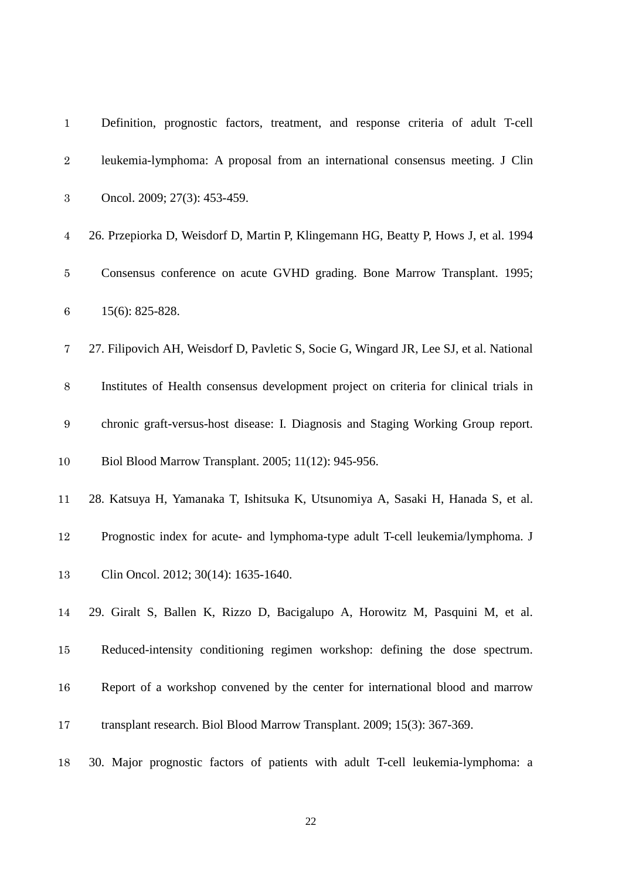| $\mathbf{1}$     | Definition, prognostic factors, treatment, and response criteria of adult T-cell        |
|------------------|-----------------------------------------------------------------------------------------|
| $\sqrt{2}$       | leukemia-lymphoma: A proposal from an international consensus meeting. J Clin           |
| $\boldsymbol{3}$ | Oncol. 2009; 27(3): 453-459.                                                            |
| $\overline{4}$   | 26. Przepiorka D, Weisdorf D, Martin P, Klingemann HG, Beatty P, Hows J, et al. 1994    |
| $\bf 5$          | Consensus conference on acute GVHD grading. Bone Marrow Transplant. 1995;               |
| $\,6\,$          | $15(6)$ : 825-828.                                                                      |
| $\overline{7}$   | 27. Filipovich AH, Weisdorf D, Pavletic S, Socie G, Wingard JR, Lee SJ, et al. National |
| $8\,$            | Institutes of Health consensus development project on criteria for clinical trials in   |
| $\boldsymbol{9}$ | chronic graft-versus-host disease: I. Diagnosis and Staging Working Group report.       |
| 10               | Biol Blood Marrow Transplant. 2005; 11(12): 945-956.                                    |
| 11               | 28. Katsuya H, Yamanaka T, Ishitsuka K, Utsunomiya A, Sasaki H, Hanada S, et al.        |
| 12               | Prognostic index for acute- and lymphoma-type adult T-cell leukemia/lymphoma. J         |
| 13               | Clin Oncol. 2012; 30(14): 1635-1640.                                                    |
| 14               | 29. Giralt S, Ballen K, Rizzo D, Bacigalupo A, Horowitz M, Pasquini M, et al.           |
| 15               | Reduced-intensity conditioning regimen workshop: defining the dose spectrum.            |
| 16               | Report of a workshop convened by the center for international blood and marrow          |
| 17               | transplant research. Biol Blood Marrow Transplant. 2009; 15(3): 367-369.                |
| 18               | 30. Major prognostic factors of patients with adult T-cell leukemia-lymphoma: a         |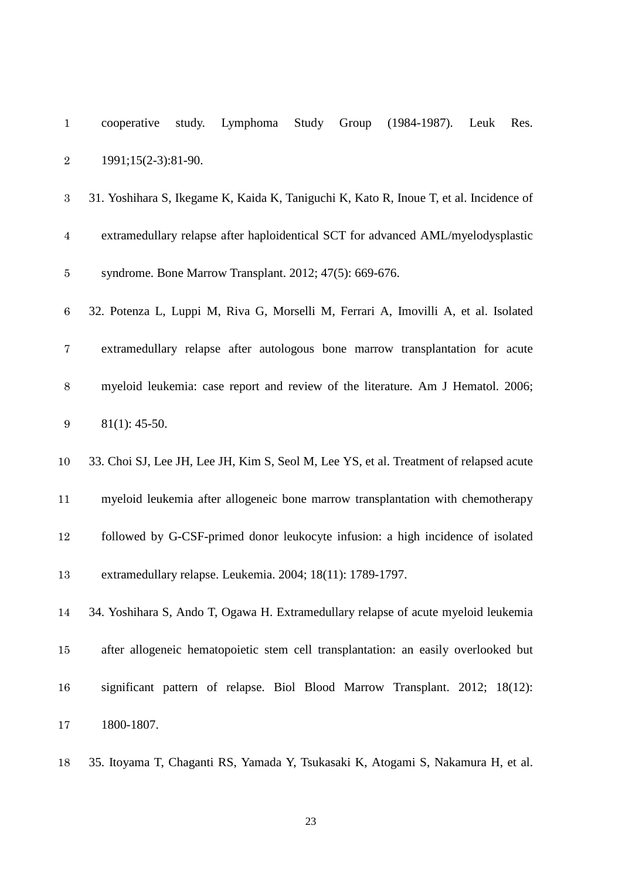| $\mathbf{1}$     | Study<br>Group<br>$(1984-1987)$ .<br>study.<br>Lymphoma<br>Res.<br>cooperative<br>Leuk |
|------------------|----------------------------------------------------------------------------------------|
| $\boldsymbol{2}$ | 1991;15(2-3):81-90.                                                                    |
| $\boldsymbol{3}$ | 31. Yoshihara S, Ikegame K, Kaida K, Taniguchi K, Kato R, Inoue T, et al. Incidence of |
| $\overline{4}$   | extramedullary relapse after haploidentical SCT for advanced AML/myelodysplastic       |
| $\bf 5$          | syndrome. Bone Marrow Transplant. 2012; 47(5): 669-676.                                |
| $\,6$            | 32. Potenza L, Luppi M, Riva G, Morselli M, Ferrari A, Imovilli A, et al. Isolated     |
| 7                | extramedullary relapse after autologous bone marrow transplantation for acute          |
| $8\,$            | myeloid leukemia: case report and review of the literature. Am J Hematol. 2006;        |
| $\boldsymbol{9}$ | $81(1): 45-50.$                                                                        |
| 10               | 33. Choi SJ, Lee JH, Lee JH, Kim S, Seol M, Lee YS, et al. Treatment of relapsed acute |
| 11               | myeloid leukemia after allogeneic bone marrow transplantation with chemotherapy        |
| 12               | followed by G-CSF-primed donor leukocyte infusion: a high incidence of isolated        |
| 13               | extramedullary relapse. Leukemia. 2004; 18(11): 1789-1797.                             |
| 14               | 34. Yoshihara S, Ando T, Ogawa H. Extramedullary relapse of acute myeloid leukemia     |
| 15               | after allogeneic hematopoietic stem cell transplantation: an easily overlooked but     |
| 16               | significant pattern of relapse. Biol Blood Marrow Transplant. 2012; 18(12):            |
| 17               | 1800-1807.                                                                             |

35. Itoyama T, Chaganti RS, Yamada Y, Tsukasaki K, Atogami S, Nakamura H, et al.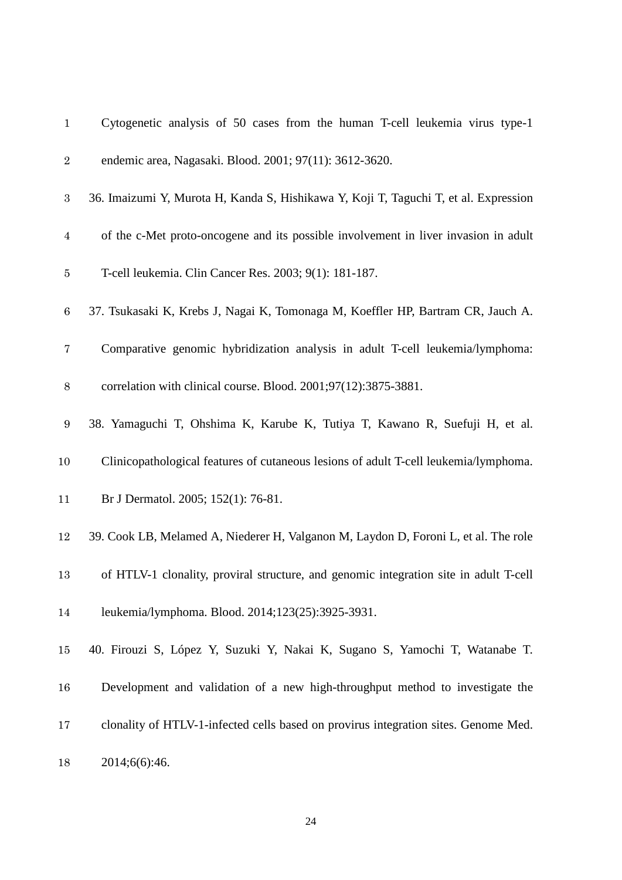| $\mathbf{1}$     | Cytogenetic analysis of 50 cases from the human T-cell leukemia virus type-1          |
|------------------|---------------------------------------------------------------------------------------|
| $\sqrt{2}$       | endemic area, Nagasaki. Blood. 2001; 97(11): 3612-3620.                               |
| $\,3$            | 36. Imaizumi Y, Murota H, Kanda S, Hishikawa Y, Koji T, Taguchi T, et al. Expression  |
| $\overline{4}$   | of the c-Met proto-oncogene and its possible involvement in liver invasion in adult   |
| $\bf 5$          | T-cell leukemia. Clin Cancer Res. 2003; 9(1): 181-187.                                |
| $\,6\,$          | 37. Tsukasaki K, Krebs J, Nagai K, Tomonaga M, Koeffler HP, Bartram CR, Jauch A.      |
| $\overline{7}$   | Comparative genomic hybridization analysis in adult T-cell leukemia/lymphoma:         |
| $8\,$            | correlation with clinical course. Blood. 2001;97(12):3875-3881.                       |
| $\boldsymbol{9}$ | 38. Yamaguchi T, Ohshima K, Karube K, Tutiya T, Kawano R, Suefuji H, et al.           |
| 10               | Clinicopathological features of cutaneous lesions of adult T-cell leukemia/lymphoma.  |
| 11               | Br J Dermatol. 2005; 152(1): 76-81.                                                   |
| 12               | 39. Cook LB, Melamed A, Niederer H, Valganon M, Laydon D, Foroni L, et al. The role   |
| 13               | of HTLV-1 clonality, proviral structure, and genomic integration site in adult T-cell |
| 14               | leukemia/lymphoma. Blood. 2014;123(25):3925-3931.                                     |
| 15               | 40. Firouzi S, López Y, Suzuki Y, Nakai K, Sugano S, Yamochi T, Watanabe T.           |
| 16               | Development and validation of a new high-throughput method to investigate the         |
| 17               | clonality of HTLV-1-infected cells based on provirus integration sites. Genome Med.   |
| 18               | 2014;6(6):46.                                                                         |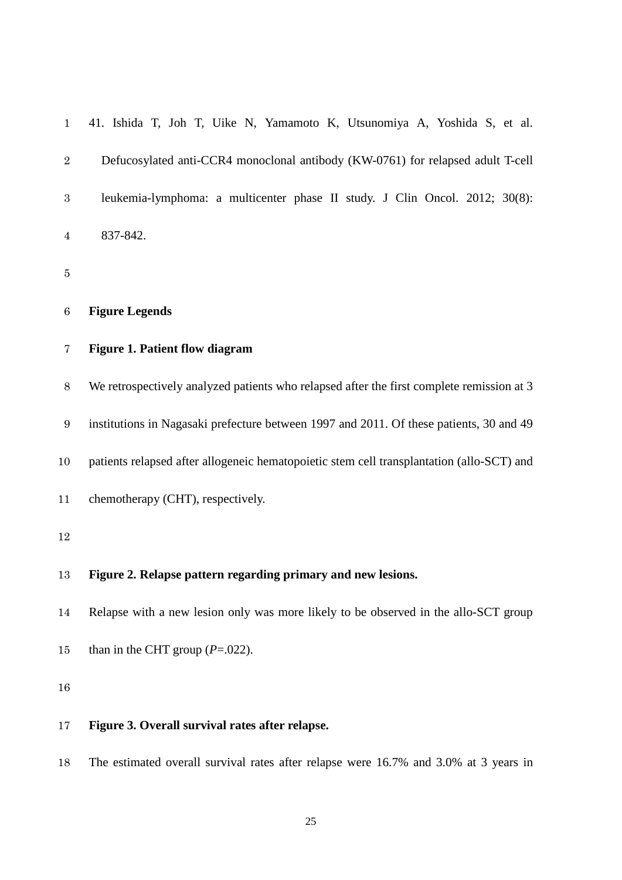| $\mathbf{1}$     | 41. Ishida T, Joh T, Uike N, Yamamoto K, Utsunomiya A, Yoshida S, et al.                  |
|------------------|-------------------------------------------------------------------------------------------|
| $\sqrt{2}$       | Defucosylated anti-CCR4 monoclonal antibody (KW-0761) for relapsed adult T-cell           |
| $\rm 3$          | leukemia-lymphoma: a multicenter phase II study. J Clin Oncol. 2012; 30(8):               |
| $\overline{4}$   | 837-842.                                                                                  |
| $\bf 5$          |                                                                                           |
| $\,6\,$          | <b>Figure Legends</b>                                                                     |
| $\bf 7$          | <b>Figure 1. Patient flow diagram</b>                                                     |
| $8\,$            | We retrospectively analyzed patients who relapsed after the first complete remission at 3 |
| $\boldsymbol{9}$ | institutions in Nagasaki prefecture between 1997 and 2011. Of these patients, 30 and 49   |
| 10               | patients relapsed after allogeneic hematopoietic stem cell transplantation (allo-SCT) and |
| 11               | chemotherapy (CHT), respectively.                                                         |
| 12               |                                                                                           |
| 13               | Figure 2. Relapse pattern regarding primary and new lesions.                              |
| 14               | Relapse with a new lesion only was more likely to be observed in the allo-SCT group       |
| 15               | than in the CHT group $(P=.022)$ .                                                        |
| 16               |                                                                                           |
| 17               | Figure 3. Overall survival rates after relapse.                                           |
| 18               | The estimated overall survival rates after relapse were 16.7% and 3.0% at 3 years in      |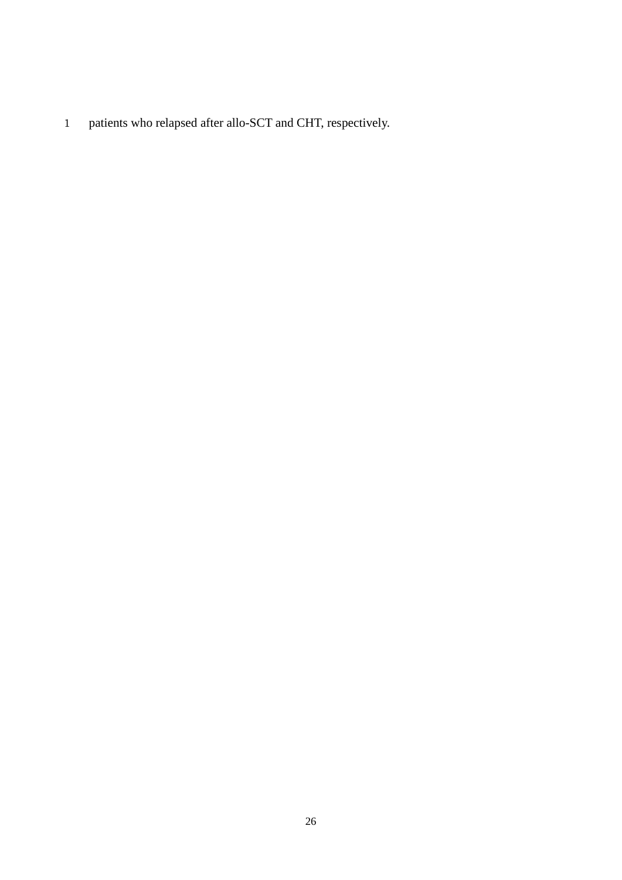patients who relapsed after allo-SCT and CHT, respectively.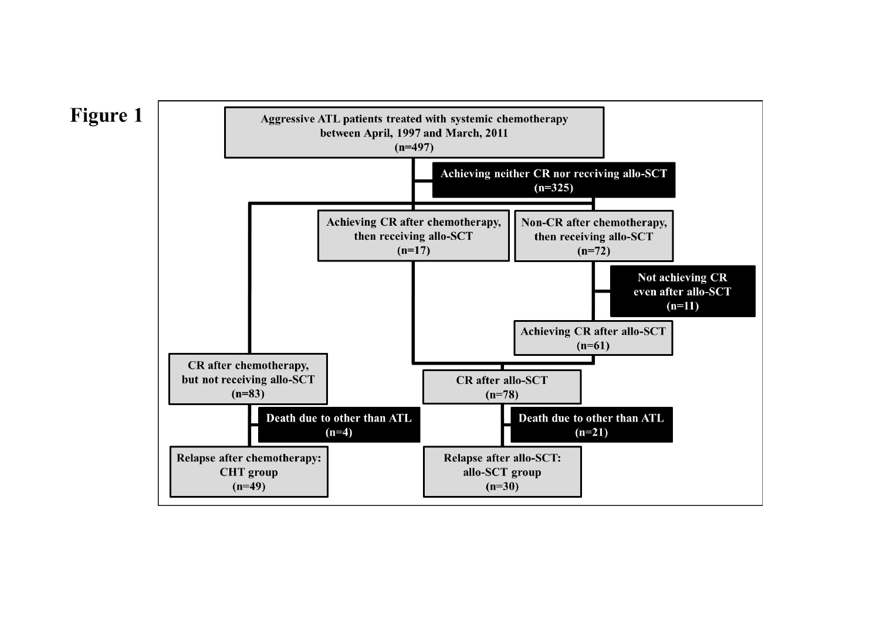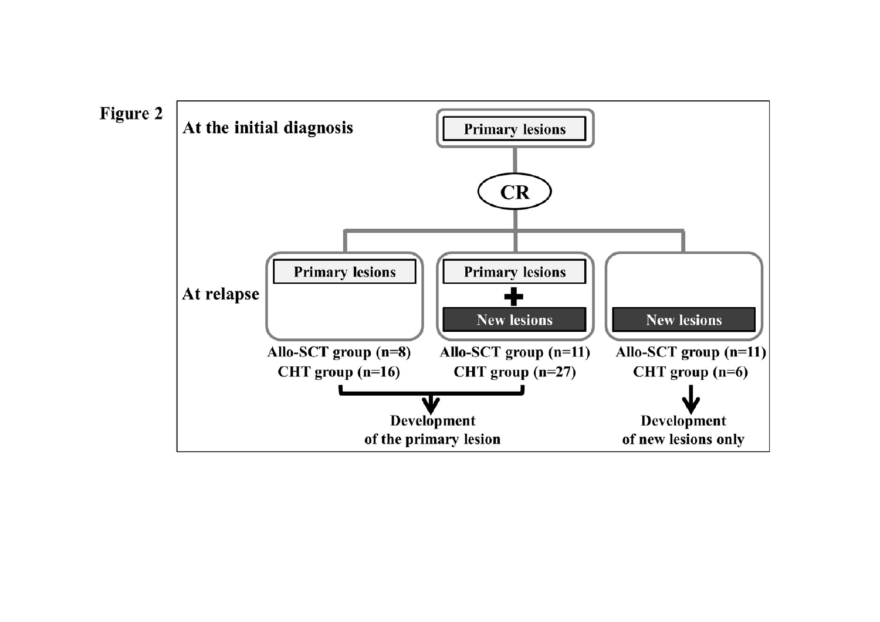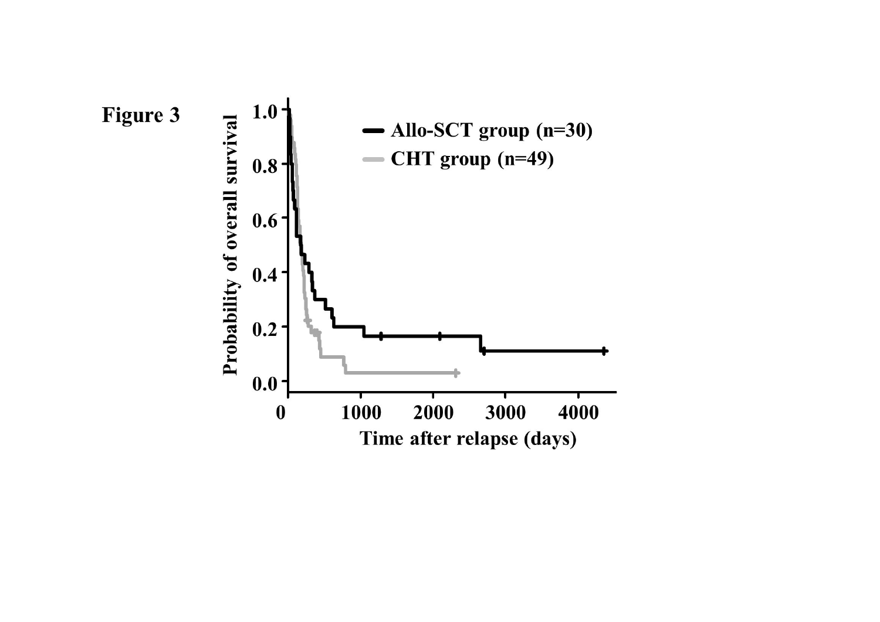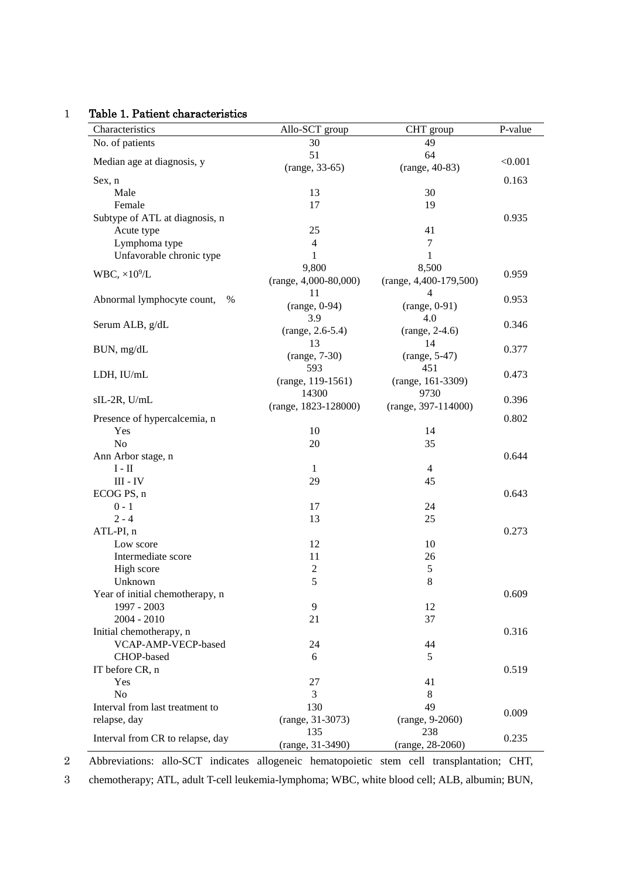## 1 Table 1. Patient characteristics

| Characteristics                    | Allo-SCT group          | CHT group                | P-value |
|------------------------------------|-------------------------|--------------------------|---------|
| No. of patients                    | 30                      | 49                       |         |
| Median age at diagnosis, y         | 51                      | 64                       | < 0.001 |
|                                    | $(range, 33-65)$        | (range, 40-83)           |         |
| Sex, n                             |                         |                          | 0.163   |
| Male                               | 13                      | 30                       |         |
| Female                             | 17                      | 19                       |         |
| Subtype of ATL at diagnosis, n     |                         |                          | 0.935   |
| Acute type                         | 25                      | 41                       |         |
| Lymphoma type                      | $\overline{4}$          | $\tau$                   |         |
| Unfavorable chronic type           | 1                       | $\mathbf{1}$             |         |
| WBC, $\times 10^9$ /L              | 9,800                   | 8,500                    | 0.959   |
|                                    | $(range, 4,000-80,000)$ | $(range, 4,400-179,500)$ |         |
|                                    | 11                      | $\overline{4}$           |         |
| Abnormal lymphocyte count,<br>$\%$ | $(range, 0-94)$         | $(range, 0-91)$          | 0.953   |
|                                    | 3.9                     | 4.0                      |         |
| Serum ALB, g/dL                    | $(range, 2.6-5.4)$      | $(range, 2-4.6)$         | 0.346   |
|                                    | 13                      | 14                       |         |
| BUN, mg/dL                         | $(range, 7-30)$         | $(range, 5-47)$          | 0.377   |
|                                    | 593                     | 451                      |         |
| LDH, IU/mL                         | $(range, 119-1561)$     | (range, 161-3309)        | 0.473   |
|                                    | 14300                   | 9730                     |         |
| sIL-2R, U/mL                       | $(range, 1823-128000)$  | $(range, 397-114000)$    | 0.396   |
| Presence of hypercalcemia, n       |                         |                          | 0.802   |
| Yes                                | 10                      | 14                       |         |
| No                                 | 20                      | 35                       |         |
| Ann Arbor stage, n                 |                         |                          | 0.644   |
| $\rm I$ - $\rm II$                 | $\mathbf{1}$            | $\overline{4}$           |         |
| $\text{III}$ - $\text{IV}$         | 29                      | 45                       |         |
| ECOG PS, n                         |                         |                          | 0.643   |
| $0 - 1$                            | 17                      | 24                       |         |
| $2 - 4$                            | 13                      | 25                       |         |
| ATL-PI, n                          |                         |                          | 0.273   |
| Low score                          | 12                      | 10                       |         |
| Intermediate score                 | 11                      | 26                       |         |
| High score                         | $\sqrt{2}$              | 5                        |         |
| Unknown                            | 5                       | 8                        |         |
| Year of initial chemotherapy, n    |                         |                          | 0.609   |
| 1997 - 2003                        | 9                       | 12                       |         |
| $2004 - 2010$                      | 21                      | 37                       |         |
|                                    |                         |                          |         |
| Initial chemotherapy, n            |                         |                          | 0.316   |
| VCAP-AMP-VECP-based                | 24                      | 44                       |         |
| CHOP-based                         | 6                       | 5                        |         |
| IT before CR, n                    |                         |                          | 0.519   |
| Yes                                | 27                      | 41                       |         |
| N <sub>o</sub>                     | 3                       | 8                        |         |
| Interval from last treatment to    | 130                     | 49                       | 0.009   |
| relapse, day                       | (range, 31-3073)        | (range, 9-2060)          |         |
| Interval from CR to relapse, day   | 135                     | 238                      | 0.235   |
|                                    | (range, 31-3490)        | (range, 28-2060)         |         |

2 Abbreviations: allo-SCT indicates allogeneic hematopoietic stem cell transplantation; CHT,

3 chemotherapy; ATL, adult T-cell leukemia-lymphoma; WBC, white blood cell; ALB, albumin; BUN,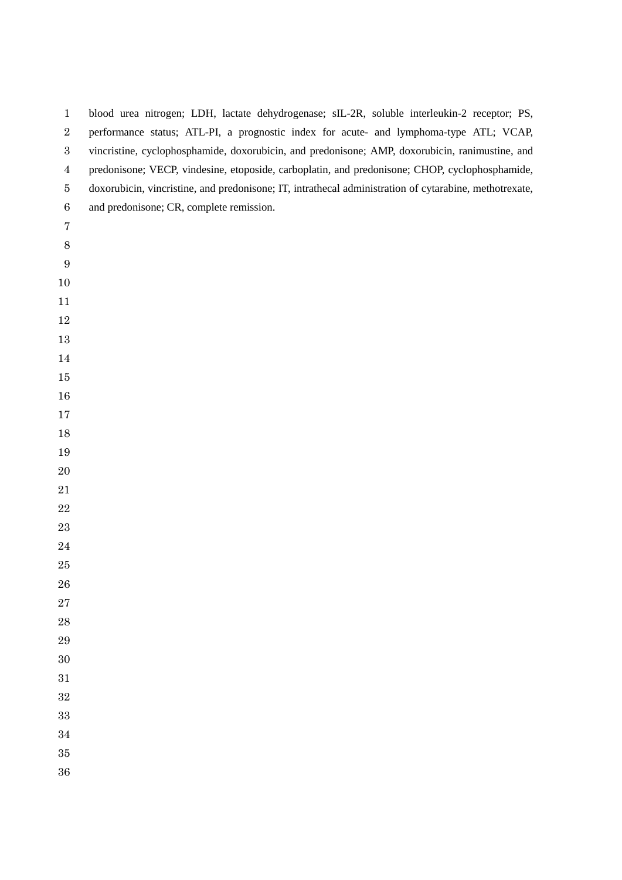| $\mathbf{1}$     | blood urea nitrogen; LDH, lactate dehydrogenase; sIL-2R, soluble interleukin-2 receptor; PS,           |
|------------------|--------------------------------------------------------------------------------------------------------|
| $\sqrt{2}$       | performance status; ATL-PI, a prognostic index for acute- and lymphoma-type ATL; VCAP,                 |
| $\boldsymbol{3}$ | vincristine, cyclophosphamide, doxorubicin, and predonisone; AMP, doxorubicin, ranimustine, and        |
| $\overline{4}$   | predonisone; VECP, vindesine, etoposide, carboplatin, and predonisone; CHOP, cyclophosphamide,         |
| $\bf 5$          | doxorubicin, vincristine, and predonisone; IT, intrathecal administration of cytarabine, methotrexate, |
| $\,6$            | and predonisone; CR, complete remission.                                                               |
| $\overline{7}$   |                                                                                                        |
| $8\,$            |                                                                                                        |
| 9                |                                                                                                        |
| 10               |                                                                                                        |
| 11               |                                                                                                        |
| 12               |                                                                                                        |
| 13               |                                                                                                        |
| 14               |                                                                                                        |
| $15\,$           |                                                                                                        |
| 16               |                                                                                                        |
| 17               |                                                                                                        |
| 18               |                                                                                                        |
| 19               |                                                                                                        |
| 20               |                                                                                                        |
| 21               |                                                                                                        |
| 22               |                                                                                                        |
| 23               |                                                                                                        |
| 24               |                                                                                                        |
| 25               |                                                                                                        |
| 26               |                                                                                                        |
| $27\,$           |                                                                                                        |
| 28               |                                                                                                        |
| 29               |                                                                                                        |
| 30               |                                                                                                        |
| 31               |                                                                                                        |
| 32               |                                                                                                        |
| 33               |                                                                                                        |
| 34               |                                                                                                        |
| 35               |                                                                                                        |
| 36               |                                                                                                        |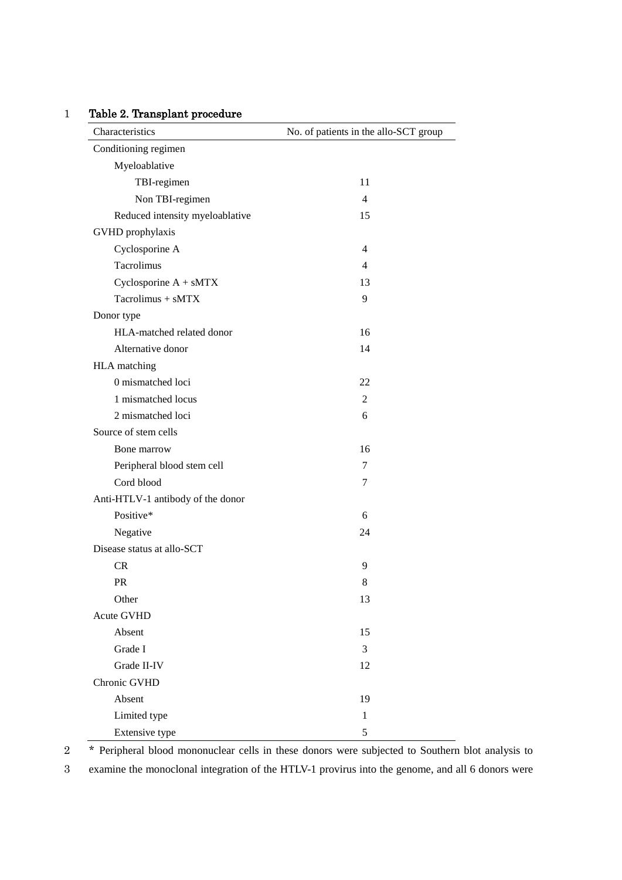## 1 Table 2. Transplant procedure

| Characteristics                   | No. of patients in the allo-SCT group |
|-----------------------------------|---------------------------------------|
| Conditioning regimen              |                                       |
| Myeloablative                     |                                       |
| TBI-regimen                       | 11                                    |
| Non TBI-regimen                   | $\overline{4}$                        |
| Reduced intensity myeloablative   | 15                                    |
| GVHD prophylaxis                  |                                       |
| Cyclosporine A                    | 4                                     |
| Tacrolimus                        | 4                                     |
| Cyclosporine $A + sMTX$           | 13                                    |
| $Tacrolimus + sMTX$               | 9                                     |
| Donor type                        |                                       |
| HLA-matched related donor         | 16                                    |
| Alternative donor                 | 14                                    |
| HLA matching                      |                                       |
| 0 mismatched loci                 | 22                                    |
| 1 mismatched locus                | 2                                     |
| 2 mismatched loci                 | 6                                     |
| Source of stem cells              |                                       |
| Bone marrow                       | 16                                    |
| Peripheral blood stem cell        | 7                                     |
| Cord blood                        | 7                                     |
| Anti-HTLV-1 antibody of the donor |                                       |
| Positive*                         | 6                                     |
| Negative                          | 24                                    |
| Disease status at allo-SCT        |                                       |
| <b>CR</b>                         | 9                                     |
| <b>PR</b>                         | 8                                     |
| Other                             | 13                                    |
| <b>Acute GVHD</b>                 |                                       |
| Absent                            | 15                                    |
| Grade I                           | 3                                     |
| Grade II-IV                       | 12                                    |
| Chronic GVHD                      |                                       |
| Absent                            | 19                                    |
| Limited type                      | $\mathbf{1}$                          |
| Extensive type                    | $\mathfrak s$                         |

2 \* Peripheral blood mononuclear cells in these donors were subjected to Southern blot analysis to

3 examine the monoclonal integration of the HTLV-1 provirus into the genome, and all 6 donors were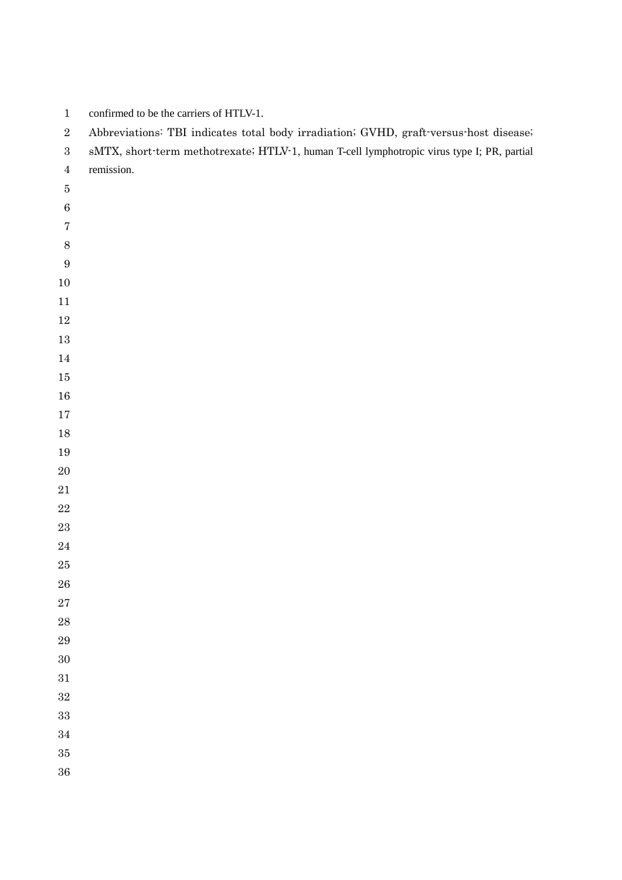| confirmed to be the carriers of HTLV-1. |  |  |
|-----------------------------------------|--|--|
|                                         |  |  |

Abbreviations: TBI indicates total body irradiation; GVHD, graft-versus-host disease;

|  |  | sMTX, short-term methotrexate; HTLV-1, human T-cell lymphotropic virus type I; PR, partial |  |  |  |  |  |  |  |
|--|--|--------------------------------------------------------------------------------------------|--|--|--|--|--|--|--|
|--|--|--------------------------------------------------------------------------------------------|--|--|--|--|--|--|--|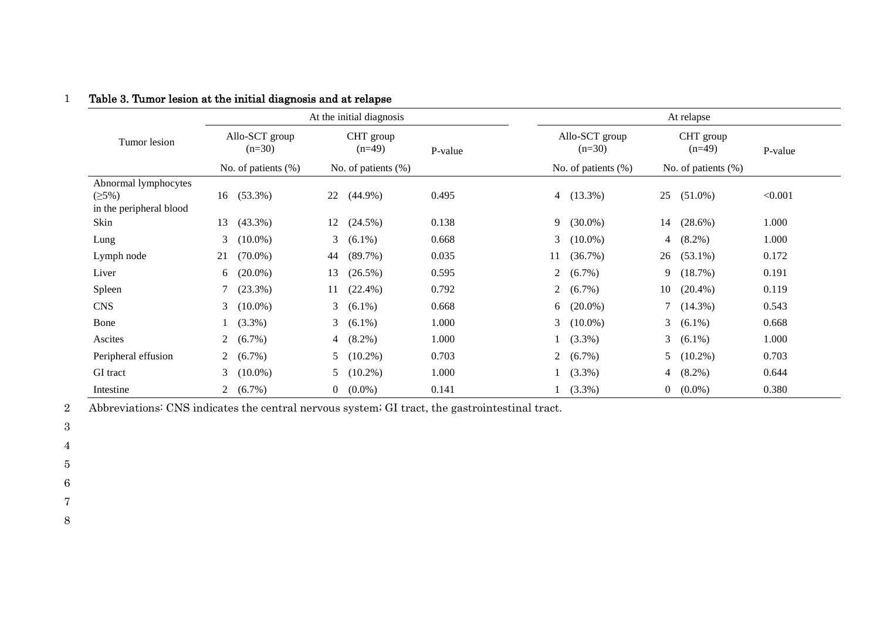|                                                          | At the initial diagnosis                             |                                                 |         | At relapse                                           |                                                 |         |  |
|----------------------------------------------------------|------------------------------------------------------|-------------------------------------------------|---------|------------------------------------------------------|-------------------------------------------------|---------|--|
| Tumor lesion                                             | Allo-SCT group<br>$(n=30)$<br>No. of patients $(\%)$ | CHT group<br>$(n=49)$<br>No. of patients $(\%)$ | P-value | Allo-SCT group<br>$(n=30)$<br>No. of patients $(\%)$ | CHT group<br>$(n=49)$<br>No. of patients $(\%)$ | P-value |  |
| Abnormal lymphocytes<br>(25%)<br>in the peripheral blood | $(53.3\%)$<br>16                                     | $(44.9\%)$<br>22                                | 0.495   | 4 $(13.3\%)$                                         | 25<br>$(51.0\%)$                                | < 0.001 |  |
| Skin                                                     | $(43.3\%)$<br>13                                     | $(24.5\%)$<br>12                                | 0.138   | $(30.0\%)$<br>9.                                     | $(28.6\%)$<br>14                                | 1.000   |  |
| Lung                                                     | 3<br>$(10.0\%)$                                      | 3<br>$(6.1\%)$                                  | 0.668   | $(10.0\%)$<br>3                                      | 4 $(8.2\%)$                                     | 1.000   |  |
| Lymph node                                               | $(70.0\%)$<br>21                                     | $(89.7\%)$<br>44                                | 0.035   | (36.7%)<br>11                                        | 26<br>$(53.1\%)$                                | 0.172   |  |
| Liver                                                    | $(20.0\%)$<br>6                                      | 13<br>$(26.5\%)$                                | 0.595   | $(6.7\%)$<br>$\overline{2}$                          | 9<br>$(18.7\%)$                                 | 0.191   |  |
| Spleen                                                   | $(23.3\%)$<br>$\tau$                                 | $(22.4\%)$<br>11                                | 0.792   | 2 $(6.7\%)$                                          | 10<br>$(20.4\%)$                                | 0.119   |  |
| <b>CNS</b>                                               | 3<br>$(10.0\%)$                                      | 3 <sup>7</sup><br>$(6.1\%)$                     | 0.668   | 6 $(20.0\%)$                                         | 7(14.3%)                                        | 0.543   |  |
| Bone                                                     | $(3.3\%)$                                            | 3 <sup>7</sup><br>$(6.1\%)$                     | 1.000   | 3 $(10.0\%)$                                         | 3 $(6.1\%)$                                     | 0.668   |  |
| Ascites                                                  | $(6.7\%)$<br>$\overline{2}$                          | $(8.2\%)$<br>$\overline{4}$                     | 1.000   | $1(3.3\%)$                                           | 3 $(6.1\%)$                                     | 1.000   |  |
| Peripheral effusion                                      | $(6.7\%)$<br>$\mathbf{2}$                            | $(10.2\%)$<br>5                                 | 0.703   | 2 $(6.7\%)$                                          | 5<br>$(10.2\%)$                                 | 0.703   |  |
| GI tract                                                 | 3<br>$(10.0\%)$                                      | $(10.2\%)$<br>5                                 | 1.000   | $1(3.3\%)$                                           | $(8.2\%)$<br>$\overline{4}$                     | 0.644   |  |
| Intestine                                                | $(6.7\%)$<br>$\overline{2}$                          | $(0.0\%)$<br>$\mathbf{0}$                       | 0.141   | $1(3.3\%)$                                           | $0 (0.0\%)$                                     | 0.380   |  |

## 1 Table 3. Tumor lesion at the initial diagnosis and at relapse

2 Abbreviations: CNS indicates the central nervous system; GI tract, the gastrointestinal tract.

3

4

5

6

7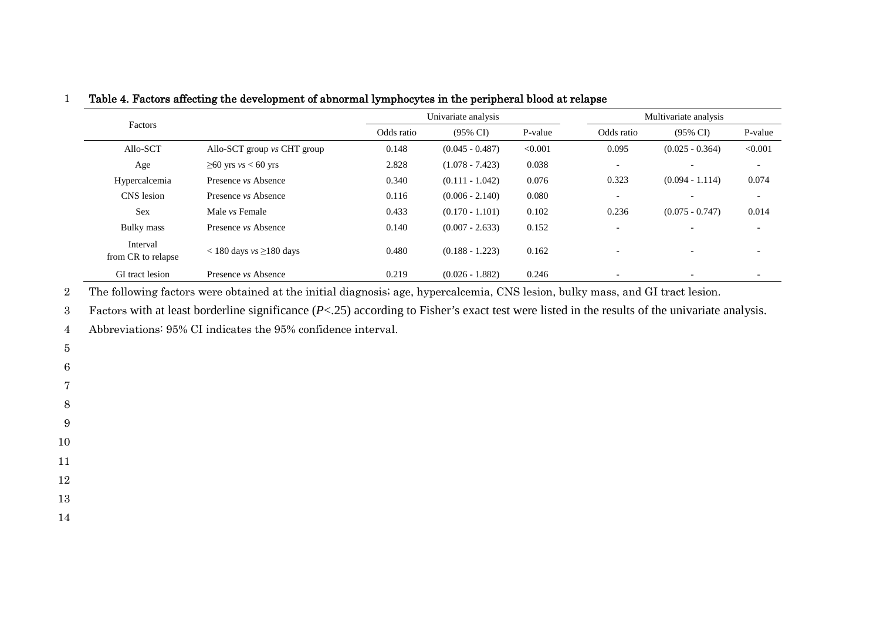|                                |                                 |            | Univariate analysis |         | Multivariate analysis    |                          |                          |  |
|--------------------------------|---------------------------------|------------|---------------------|---------|--------------------------|--------------------------|--------------------------|--|
| Factors                        |                                 | Odds ratio | $(95\% \text{ CI})$ | P-value | Odds ratio               | $(95\% \text{ CI})$      | P-value                  |  |
| Allo-SCT                       | Allo-SCT group vs CHT group     | 0.148      | $(0.045 - 0.487)$   | < 0.001 | 0.095                    | $(0.025 - 0.364)$        | < 0.001                  |  |
| Age                            | $\geq 60$ yrs vs < 60 yrs       | 2.828      | $(1.078 - 7.423)$   | 0.038   | $\overline{\phantom{a}}$ |                          | $\overline{\phantom{a}}$ |  |
| Hypercalcemia                  | Presence <i>vs</i> Absence      | 0.340      | $(0.111 - 1.042)$   | 0.076   | 0.323                    | $(0.094 - 1.114)$        | 0.074                    |  |
| CNS lesion                     | Presence <i>vs</i> Absence      | 0.116      | $(0.006 - 2.140)$   | 0.080   | $\overline{\phantom{a}}$ |                          | $\overline{\phantom{a}}$ |  |
| <b>Sex</b>                     | Male <i>vs</i> Female           | 0.433      | $(0.170 - 1.101)$   | 0.102   | 0.236                    | $(0.075 - 0.747)$        | 0.014                    |  |
| Bulky mass                     | Presence <i>vs</i> Absence      | 0.140      | $(0.007 - 2.633)$   | 0.152   |                          |                          |                          |  |
| Interval<br>from CR to relapse | $<$ 180 days $vs \geq$ 180 days | 0.480      | $(0.188 - 1.223)$   | 0.162   |                          |                          |                          |  |
| GI tract lesion                | Presence <i>vs</i> Absence      | 0.219      | $(0.026 - 1.882)$   | 0.246   | $\overline{\phantom{a}}$ | $\overline{\phantom{a}}$ |                          |  |

1 Table 4. Factors affecting the development of abnormal lymphocytes in the peripheral blood at relapse

2 The following factors were obtained at the initial diagnosis; age, hypercalcemia, CNS lesion, bulky mass, and GI tract lesion.

3 Factors with at least borderline significance (*P*<.25) according to Fisher's exact test were listed in the results of the univariate analysis.

4 Abbreviations: 95% CI indicates the 95% confidence interval.

- 5
- 6
- 7
-